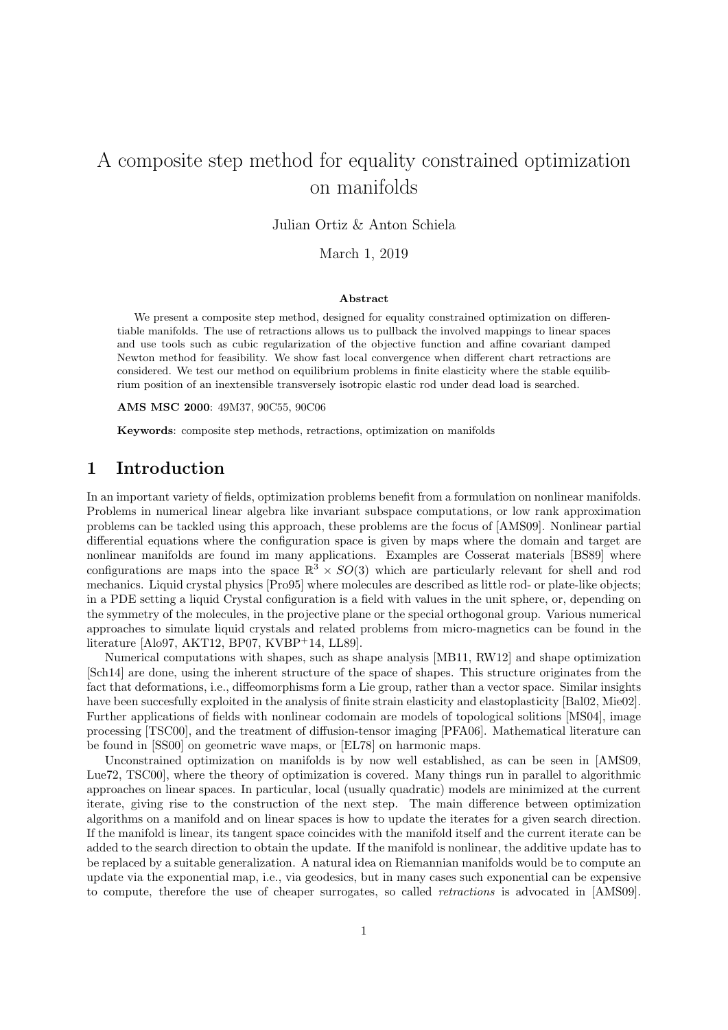# A composite step method for equality constrained optimization on manifolds

Julian Ortiz & Anton Schiela

March 1, 2019

#### Abstract

We present a composite step method, designed for equality constrained optimization on differentiable manifolds. The use of retractions allows us to pullback the involved mappings to linear spaces and use tools such as cubic regularization of the objective function and affine covariant damped Newton method for feasibility. We show fast local convergence when different chart retractions are considered. We test our method on equilibrium problems in finite elasticity where the stable equilibrium position of an inextensible transversely isotropic elastic rod under dead load is searched.

AMS MSC 2000: 49M37, 90C55, 90C06

Keywords: composite step methods, retractions, optimization on manifolds

## 1 Introduction

In an important variety of fields, optimization problems benefit from a formulation on nonlinear manifolds. Problems in numerical linear algebra like invariant subspace computations, or low rank approximation problems can be tackled using this approach, these problems are the focus of [AMS09]. Nonlinear partial differential equations where the configuration space is given by maps where the domain and target are nonlinear manifolds are found im many applications. Examples are Cosserat materials [BS89] where configurations are maps into the space  $\mathbb{R}^3 \times SO(3)$  which are particularly relevant for shell and rod mechanics. Liquid crystal physics [Pro95] where molecules are described as little rod- or plate-like objects; in a PDE setting a liquid Crystal configuration is a field with values in the unit sphere, or, depending on the symmetry of the molecules, in the projective plane or the special orthogonal group. Various numerical approaches to simulate liquid crystals and related problems from micro-magnetics can be found in the literature [Alo97, AKT12, BP07, KVBP+14, LL89].

Numerical computations with shapes, such as shape analysis [MB11, RW12] and shape optimization [Sch14] are done, using the inherent structure of the space of shapes. This structure originates from the fact that deformations, i.e., diffeomorphisms form a Lie group, rather than a vector space. Similar insights have been succesfully exploited in the analysis of finite strain elasticity and elastoplasticity [Bal02, Mie02]. Further applications of fields with nonlinear codomain are models of topological solitions [MS04], image processing [TSC00], and the treatment of diffusion-tensor imaging [PFA06]. Mathematical literature can be found in [SS00] on geometric wave maps, or [EL78] on harmonic maps.

Unconstrained optimization on manifolds is by now well established, as can be seen in [AMS09, Lue72, TSC00], where the theory of optimization is covered. Many things run in parallel to algorithmic approaches on linear spaces. In particular, local (usually quadratic) models are minimized at the current iterate, giving rise to the construction of the next step. The main difference between optimization algorithms on a manifold and on linear spaces is how to update the iterates for a given search direction. If the manifold is linear, its tangent space coincides with the manifold itself and the current iterate can be added to the search direction to obtain the update. If the manifold is nonlinear, the additive update has to be replaced by a suitable generalization. A natural idea on Riemannian manifolds would be to compute an update via the exponential map, i.e., via geodesics, but in many cases such exponential can be expensive to compute, therefore the use of cheaper surrogates, so called retractions is advocated in [AMS09].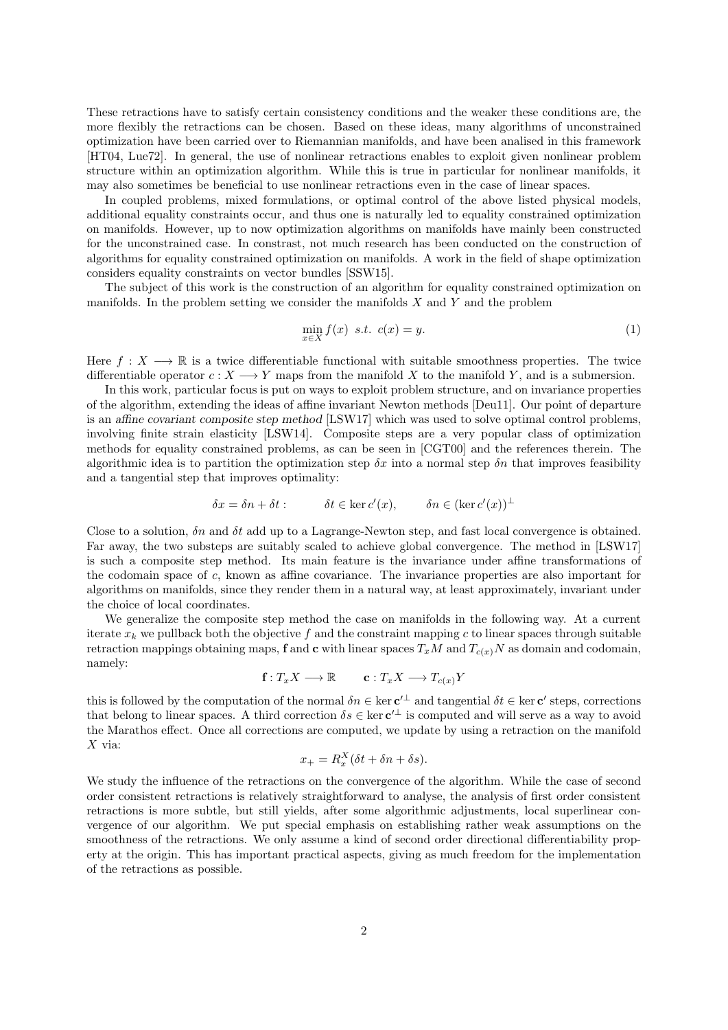These retractions have to satisfy certain consistency conditions and the weaker these conditions are, the more flexibly the retractions can be chosen. Based on these ideas, many algorithms of unconstrained optimization have been carried over to Riemannian manifolds, and have been analised in this framework [HT04, Lue72]. In general, the use of nonlinear retractions enables to exploit given nonlinear problem structure within an optimization algorithm. While this is true in particular for nonlinear manifolds, it may also sometimes be beneficial to use nonlinear retractions even in the case of linear spaces.

In coupled problems, mixed formulations, or optimal control of the above listed physical models, additional equality constraints occur, and thus one is naturally led to equality constrained optimization on manifolds. However, up to now optimization algorithms on manifolds have mainly been constructed for the unconstrained case. In constrast, not much research has been conducted on the construction of algorithms for equality constrained optimization on manifolds. A work in the field of shape optimization considers equality constraints on vector bundles [SSW15].

The subject of this work is the construction of an algorithm for equality constrained optimization on manifolds. In the problem setting we consider the manifolds  $X$  and  $Y$  and the problem

$$
\min_{x \in X} f(x) \quad s.t. \quad c(x) = y. \tag{1}
$$

Here  $f: X \longrightarrow \mathbb{R}$  is a twice differentiable functional with suitable smoothness properties. The twice differentiable operator  $c: X \longrightarrow Y$  maps from the manifold X to the manifold Y, and is a submersion.

In this work, particular focus is put on ways to exploit problem structure, and on invariance properties of the algorithm, extending the ideas of affine invariant Newton methods [Deu11]. Our point of departure is an affine covariant composite step method [LSW17] which was used to solve optimal control problems, involving finite strain elasticity [LSW14]. Composite steps are a very popular class of optimization methods for equality constrained problems, as can be seen in [CGT00] and the references therein. The algorithmic idea is to partition the optimization step  $\delta x$  into a normal step  $\delta n$  that improves feasibility and a tangential step that improves optimality:

$$
\delta x = \delta n + \delta t : \qquad \delta t \in \ker c'(x), \qquad \delta n \in (\ker c'(x))^\perp
$$

Close to a solution,  $\delta n$  and  $\delta t$  add up to a Lagrange-Newton step, and fast local convergence is obtained. Far away, the two substeps are suitably scaled to achieve global convergence. The method in [LSW17] is such a composite step method. Its main feature is the invariance under affine transformations of the codomain space of c, known as affine covariance. The invariance properties are also important for algorithms on manifolds, since they render them in a natural way, at least approximately, invariant under the choice of local coordinates.

We generalize the composite step method the case on manifolds in the following way. At a current iterate  $x_k$  we pullback both the objective f and the constraint mapping c to linear spaces through suitable retraction mappings obtaining maps, f and c with linear spaces  $T_xM$  and  $T_{c(x)}N$  as domain and codomain, namely:

$$
\mathbf{f}: T_x X \longrightarrow \mathbb{R} \qquad \mathbf{c}: T_x X \longrightarrow T_{c(x)} Y
$$

this is followed by the computation of the normal  $\delta n \in \ker c'^{\perp}$  and tangential  $\delta t \in \ker c'$  steps, corrections that belong to linear spaces. A third correction  $\delta s \in \ker \mathbf{c}^{\perp}$  is computed and will serve as a way to avoid the Marathos effect. Once all corrections are computed, we update by using a retraction on the manifold  $X$  via:

$$
x_{+} = R_{x}^{X}(\delta t + \delta n + \delta s).
$$

We study the influence of the retractions on the convergence of the algorithm. While the case of second order consistent retractions is relatively straightforward to analyse, the analysis of first order consistent retractions is more subtle, but still yields, after some algorithmic adjustments, local superlinear convergence of our algorithm. We put special emphasis on establishing rather weak assumptions on the smoothness of the retractions. We only assume a kind of second order directional differentiability property at the origin. This has important practical aspects, giving as much freedom for the implementation of the retractions as possible.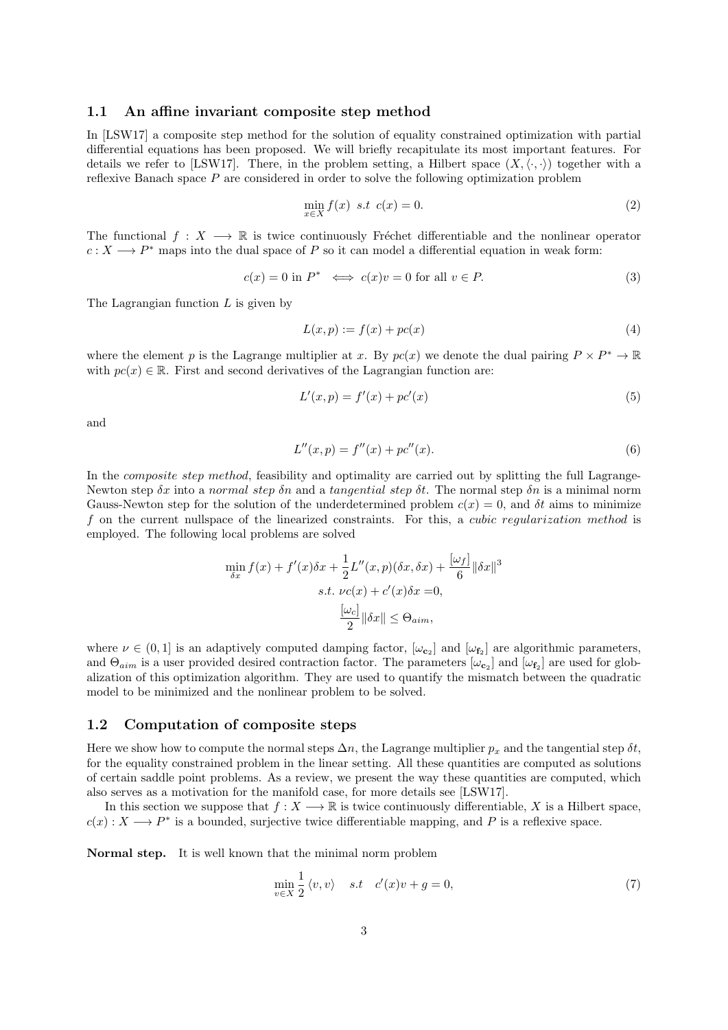### 1.1 An affine invariant composite step method

In [LSW17] a composite step method for the solution of equality constrained optimization with partial differential equations has been proposed. We will briefly recapitulate its most important features. For details we refer to [LSW17]. There, in the problem setting, a Hilbert space  $(X,\langle\cdot,\cdot\rangle)$  together with a reflexive Banach space  $P$  are considered in order to solve the following optimization problem

$$
\min_{x \in X} f(x) \quad s.t \quad c(x) = 0. \tag{2}
$$

The functional  $f: X \longrightarrow \mathbb{R}$  is twice continuously Fréchet differentiable and the nonlinear operator  $c: X \longrightarrow P^*$  maps into the dual space of P so it can model a differential equation in weak form:

$$
c(x) = 0 \text{ in } P^* \iff c(x)v = 0 \text{ for all } v \in P. \tag{3}
$$

The Lagrangian function  $L$  is given by

$$
L(x, p) := f(x) + pc(x)
$$
\n<sup>(4)</sup>

where the element p is the Lagrange multiplier at x. By  $pc(x)$  we denote the dual pairing  $P \times P^* \to \mathbb{R}$ with  $pc(x) \in \mathbb{R}$ . First and second derivatives of the Lagrangian function are:

$$
L'(x, p) = f'(x) + p c'(x)
$$
\n(5)

and

$$
L''(x, p) = f''(x) + pc''(x).
$$
\n(6)

In the *composite step method*, feasibility and optimality are carried out by splitting the full Lagrange-Newton step  $\delta x$  into a normal step  $\delta n$  and a tangential step  $\delta t$ . The normal step  $\delta n$  is a minimal norm Gauss-Newton step for the solution of the underdetermined problem  $c(x) = 0$ , and  $\delta t$  aims to minimize f on the current nullspace of the linearized constraints. For this, a cubic regularization method is employed. The following local problems are solved

$$
\min_{\delta x} f(x) + f'(x)\delta x + \frac{1}{2}L''(x, p)(\delta x, \delta x) + \frac{[\omega_f]}{6} ||\delta x||^3
$$
  
s.t.  $\nu c(x) + c'(x)\delta x = 0$ ,  

$$
\frac{[\omega_c]}{2} ||\delta x|| \leq \Theta_{aim},
$$

where  $\nu \in (0,1]$  is an adaptively computed damping factor,  $[\omega_{\mathbf{c}_2}]$  and  $[\omega_{\mathbf{f}_2}]$  are algorithmic parameters, and  $\Theta_{aim}$  is a user provided desired contraction factor. The parameters  $[\omega_{c_2}]$  and  $[\omega_{f_2}]$  are used for globalization of this optimization algorithm. They are used to quantify the mismatch between the quadratic model to be minimized and the nonlinear problem to be solved.

### 1.2 Computation of composite steps

Here we show how to compute the normal steps  $\Delta n$ , the Lagrange multiplier  $p_x$  and the tangential step  $\delta t$ , for the equality constrained problem in the linear setting. All these quantities are computed as solutions of certain saddle point problems. As a review, we present the way these quantities are computed, which also serves as a motivation for the manifold case, for more details see [LSW17].

In this section we suppose that  $f: X \longrightarrow \mathbb{R}$  is twice continuously differentiable, X is a Hilbert space,  $c(x): X \longrightarrow P^*$  is a bounded, surjective twice differentiable mapping, and P is a reflexive space.

Normal step. It is well known that the minimal norm problem

$$
\min_{v \in X} \frac{1}{2} \langle v, v \rangle \quad s.t \quad c'(x)v + g = 0,
$$
\n(7)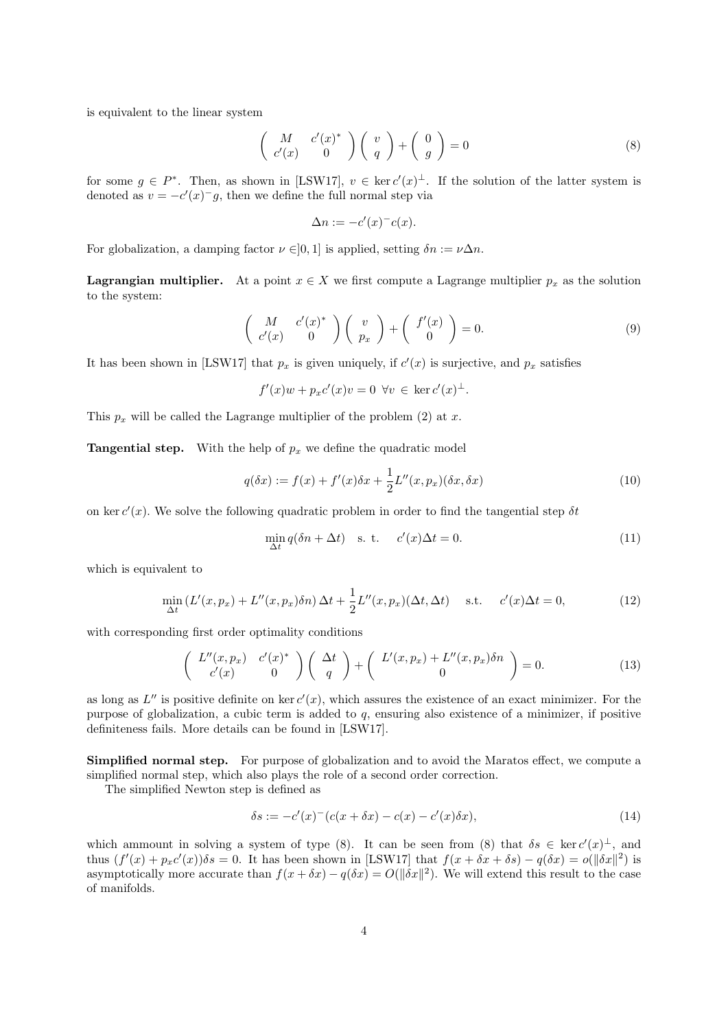is equivalent to the linear system

$$
\begin{pmatrix}\nM & c'(x)^* \\
c'(x) & 0\n\end{pmatrix}\n\begin{pmatrix}\nv \\
q\n\end{pmatrix} +\n\begin{pmatrix}\n0 \\
g\n\end{pmatrix} = 0
$$
\n(8)

for some  $g \in P^*$ . Then, as shown in [LSW17],  $v \in \ker c'(x)^{\perp}$ . If the solution of the latter system is denoted as  $v = -c'(x)^{-}g$ , then we define the full normal step via

$$
\Delta n := -c'(x)^{-}c(x).
$$

For globalization, a damping factor  $\nu \in ]0,1]$  is applied, setting  $\delta n := \nu \Delta n$ .

**Lagrangian multiplier.** At a point  $x \in X$  we first compute a Lagrange multiplier  $p_x$  as the solution to the system:

$$
\begin{pmatrix}\nM & c'(x)^* \\
c'(x) & 0\n\end{pmatrix}\n\begin{pmatrix}\nv \\
p_x\n\end{pmatrix} +\n\begin{pmatrix}\nf'(x) \\
0\n\end{pmatrix} = 0.
$$
\n(9)

It has been shown in [LSW17] that  $p_x$  is given uniquely, if  $c'(x)$  is surjective, and  $p_x$  satisfies

$$
f'(x)w + p_x c'(x)v = 0 \quad \forall v \in \ker c'(x)^{\perp}.
$$

This  $p_x$  will be called the Lagrange multiplier of the problem (2) at x.

**Tangential step.** With the help of  $p_x$  we define the quadratic model

$$
q(\delta x) := f(x) + f'(x)\delta x + \frac{1}{2}L''(x, p_x)(\delta x, \delta x)
$$
\n(10)

on ker  $c'(x)$ . We solve the following quadratic problem in order to find the tangential step  $\delta t$ 

$$
\min_{\Delta t} q(\delta n + \Delta t) \quad \text{s. t.} \quad c'(x)\Delta t = 0. \tag{11}
$$

which is equivalent to

$$
\min_{\Delta t} \left( L'(x, p_x) + L''(x, p_x) \delta n \right) \Delta t + \frac{1}{2} L''(x, p_x) (\Delta t, \Delta t) \quad \text{s.t.} \quad c'(x) \Delta t = 0,\tag{12}
$$

with corresponding first order optimality conditions

$$
\begin{pmatrix} L''(x,p_x) & c'(x)^* \\ c'(x) & 0 \end{pmatrix} \begin{pmatrix} \Delta t \\ q \end{pmatrix} + \begin{pmatrix} L'(x,p_x) + L''(x,p_x)\delta n \\ 0 \end{pmatrix} = 0.
$$
 (13)

as long as  $L''$  is positive definite on ker  $c'(x)$ , which assures the existence of an exact minimizer. For the purpose of globalization, a cubic term is added to  $q$ , ensuring also existence of a minimizer, if positive definiteness fails. More details can be found in [LSW17].

Simplified normal step. For purpose of globalization and to avoid the Maratos effect, we compute a simplified normal step, which also plays the role of a second order correction.

The simplified Newton step is defined as

$$
\delta s := -c'(x)^{-1}(c(x + \delta x) - c(x)) - c'(x)\delta x), \tag{14}
$$

which ammount in solving a system of type (8). It can be seen from (8) that  $\delta s \in \text{ker } c'(x)^{\perp}$ , and thus  $(f'(x) + p_x c'(x))\delta s = 0$ . It has been shown in [LSW17] that  $f(x + \delta x + \delta s) - q(\delta x) = o(||\delta x||^2)$  is asymptotically more accurate than  $f(x + \delta x) - q(\delta x) = O(||\delta x||^2)$ . We will extend this result to the case of manifolds.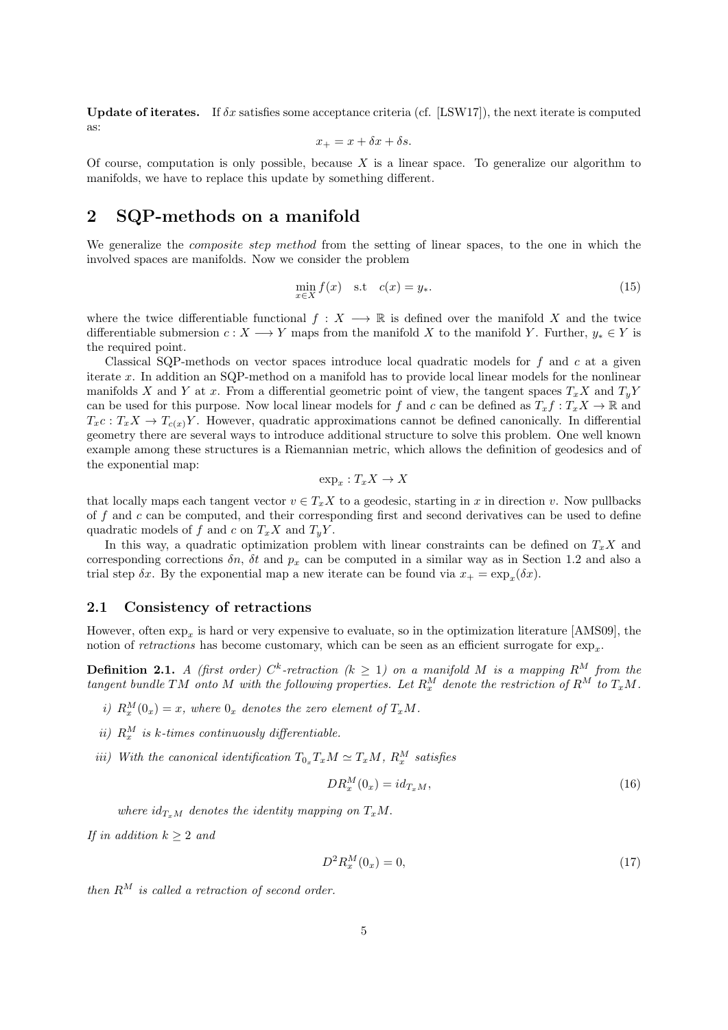Update of iterates. If  $\delta x$  satisfies some acceptance criteria (cf. [LSW17]), the next iterate is computed as:

$$
x_+ = x + \delta x + \delta s.
$$

Of course, computation is only possible, because  $X$  is a linear space. To generalize our algorithm to manifolds, we have to replace this update by something different.

## 2 SQP-methods on a manifold

We generalize the *composite step method* from the setting of linear spaces, to the one in which the involved spaces are manifolds. Now we consider the problem

$$
\min_{x \in X} f(x) \quad \text{s.t} \quad c(x) = y_*.\tag{15}
$$

where the twice differentiable functional  $f: X \longrightarrow \mathbb{R}$  is defined over the manifold X and the twice differentiable submersion  $c: X \longrightarrow Y$  maps from the manifold X to the manifold Y. Further,  $y_* \in Y$  is the required point.

Classical SQP-methods on vector spaces introduce local quadratic models for  $f$  and  $c$  at a given iterate x. In addition an SQP-method on a manifold has to provide local linear models for the nonlinear manifolds X and Y at x. From a differential geometric point of view, the tangent spaces  $T_xX$  and  $T_yY$ can be used for this purpose. Now local linear models for f and c can be defined as  $T_x f : T_x X \to \mathbb{R}$  and  $T_xc : T_xX \to T_{c(x)}Y$ . However, quadratic approximations cannot be defined canonically. In differential geometry there are several ways to introduce additional structure to solve this problem. One well known example among these structures is a Riemannian metric, which allows the definition of geodesics and of the exponential map:

$$
\exp_x: T_xX \to X
$$

that locally maps each tangent vector  $v \in T_xX$  to a geodesic, starting in x in direction v. Now pullbacks of  $f$  and  $c$  can be computed, and their corresponding first and second derivatives can be used to define quadratic models of f and c on  $T_xX$  and  $T_yY$ .

In this way, a quadratic optimization problem with linear constraints can be defined on  $T_xX$  and corresponding corrections  $\delta n$ ,  $\delta t$  and  $p_x$  can be computed in a similar way as in Section 1.2 and also a trial step  $\delta x$ . By the exponential map a new iterate can be found via  $x_+ = \exp_x(\delta x)$ .

### 2.1 Consistency of retractions

However, often  $\exp_x$  is hard or very expensive to evaluate, so in the optimization literature [AMS09], the notion of *retractions* has become customary, which can be seen as an efficient surrogate for  $\exp_x$ .

**Definition 2.1.** A (first order)  $C^k$ -retraction ( $k \geq 1$ ) on a manifold M is a mapping  $R^M$  from the tangent bundle TM onto M with the following properties. Let  $R_x^M$  denote the restriction of  $R^M$  to  $T_xM$ .

- i)  $R_x^M(0_x) = x$ , where  $0_x$  denotes the zero element of  $T_xM$ .
- ii)  $R_x^M$  is k-times continuously differentiable.
- iii) With the canonical identification  $T_{0_x} T_x M \simeq T_x M$ ,  $R_x^M$  satisfies

$$
DR_x^M(0_x) = id_{T_xM},\tag{16}
$$

where  $id_{T_xM}$  denotes the identity mapping on  $T_xM$ .

If in addition  $k \geq 2$  and

$$
D^2 R_x^M(0_x) = 0,\t\t(17)
$$

then  $R^M$  is called a retraction of second order.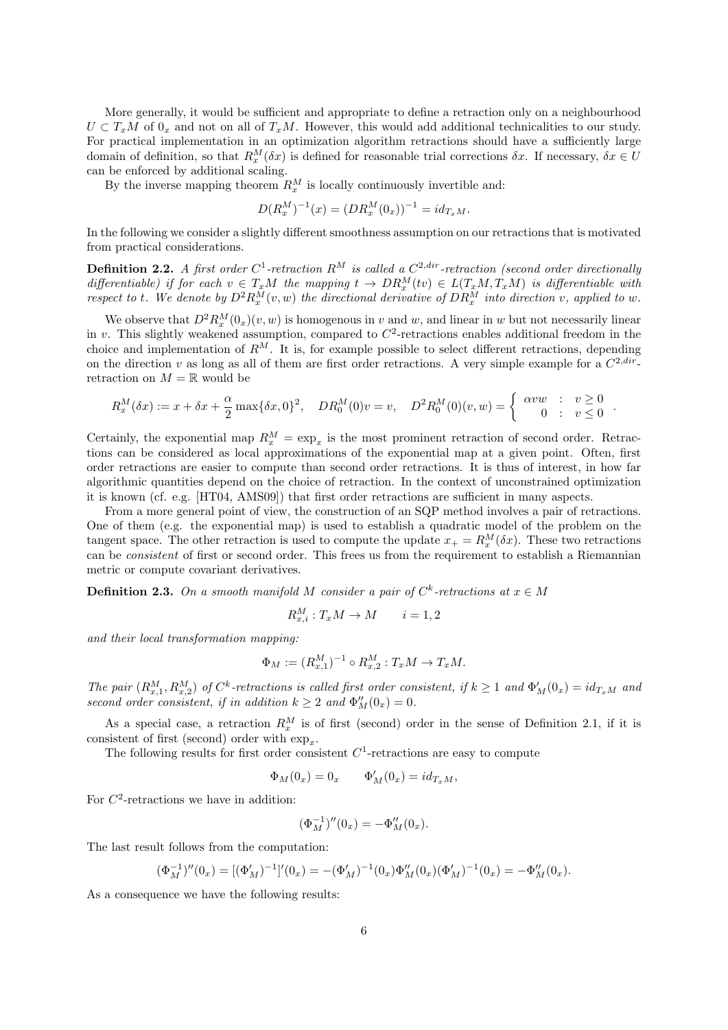More generally, it would be sufficient and appropriate to define a retraction only on a neighbourhood  $U \subset T_xM$  of  $0_x$  and not on all of  $T_xM$ . However, this would add additional technicalities to our study. For practical implementation in an optimization algorithm retractions should have a sufficiently large domain of definition, so that  $R_x^M(\delta x)$  is defined for reasonable trial corrections  $\delta x$ . If necessary,  $\delta x \in U$ can be enforced by additional scaling.

By the inverse mapping theorem  $R_x^M$  is locally continuously invertible and:

$$
D(R_x^M)^{-1}(x) = (DR_x^M(0_x))^{-1} = id_{T_xM}.
$$

In the following we consider a slightly different smoothness assumption on our retractions that is motivated from practical considerations.

**Definition 2.2.** A first order  $C^1$ -retraction  $R^M$  is called a  $C^{2,dir}$ -retraction (second order directionally differentiable) if for each  $v \in T_xM$  the mapping  $t \to DR_x^M(tv) \in L(T_xM, T_xM)$  is differentiable with respect to t. We denote by  $D^2 R_x^M(v, w)$  the directional derivative of  $DR_x^M$  into direction v, applied to w.

We observe that  $D^2 R_x^M(0_x)(v, w)$  is homogenous in v and w, and linear in w but not necessarily linear in v. This slightly weakened assumption, compared to  $C^2$ -retractions enables additional freedom in the choice and implementation of  $R^M$ . It is, for example possible to select different retractions, depending on the direction v as long as all of them are first order retractions. A very simple example for a  $C^{2,dir}$ retraction on  $M = \mathbb{R}$  would be

$$
R_x^M(\delta x) := x + \delta x + \frac{\alpha}{2} \max\{\delta x, 0\}^2, \quad DR_0^M(0)v = v, \quad D^2 R_0^M(0)(v, w) = \begin{cases} \alpha v w & : v \ge 0 \\ 0 & : v \le 0 \end{cases}
$$

.

Certainly, the exponential map  $R_x^M = \exp_x$  is the most prominent retraction of second order. Retractions can be considered as local approximations of the exponential map at a given point. Often, first order retractions are easier to compute than second order retractions. It is thus of interest, in how far algorithmic quantities depend on the choice of retraction. In the context of unconstrained optimization it is known (cf. e.g. [HT04, AMS09]) that first order retractions are sufficient in many aspects.

From a more general point of view, the construction of an SQP method involves a pair of retractions. One of them (e.g. the exponential map) is used to establish a quadratic model of the problem on the tangent space. The other retraction is used to compute the update  $x_+ = R_x^M(\delta x)$ . These two retractions can be consistent of first or second order. This frees us from the requirement to establish a Riemannian metric or compute covariant derivatives.

**Definition 2.3.** On a smooth manifold M consider a pair of  $C^k$ -retractions at  $x \in M$ 

$$
R_{x,i}^M: T_x M \to M \qquad i = 1,2
$$

and their local transformation mapping:

$$
\Phi_M := (R_{x,1}^M)^{-1} \circ R_{x,2}^M : T_x M \to T_x M.
$$

The pair  $(R_{x,1}^M, R_{x,2}^M)$  of  $C^k$ -retractions is called first order consistent, if  $k \ge 1$  and  $\Phi'_M(0_x) = id_{T_xM}$  and second order consistent, if in addition  $k \geq 2$  and  $\Phi''_M(0_x) = 0$ .

As a special case, a retraction  $R_x^M$  is of first (second) order in the sense of Definition 2.1, if it is consistent of first (second) order with  $\exp_x$ .

The following results for first order consistent  $C<sup>1</sup>$ -retractions are easy to compute

$$
\Phi_M(0_x) = 0_x \qquad \Phi'_M(0_x) = id_{T_xM},
$$

For  $C^2$ -retractions we have in addition:

$$
(\Phi_M^{-1})''(0_x) = -\Phi_M''(0_x).
$$

The last result follows from the computation:

$$
(\Phi_M^{-1})''(0_x) = [(\Phi_M')^{-1}]'(0_x) = -(\Phi_M')^{-1}(0_x)\Phi_M''(0_x)(\Phi_M')^{-1}(0_x) = -\Phi_M''(0_x).
$$

As a consequence we have the following results: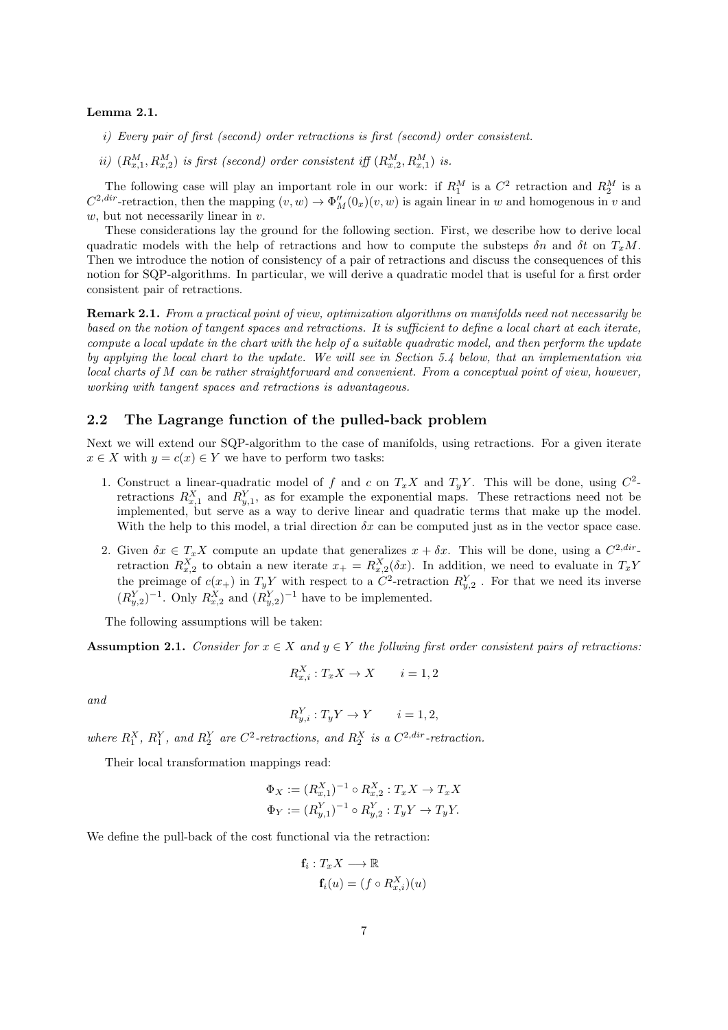### Lemma 2.1.

- i) Every pair of first (second) order retractions is first (second) order consistent.
- ii)  $(R_{x,1}^M, R_{x,2}^M)$  is first (second) order consistent iff  $(R_{x,2}^M, R_{x,1}^M)$  is.

The following case will play an important role in our work: if  $R_1^M$  is a  $C^2$  retraction and  $R_2^M$  is a  $C^{2,dir}$ -retraction, then the mapping  $(v, w) \to \Phi_M''(0_x)(v, w)$  is again linear in w and homogenous in v and  $w$ , but not necessarily linear in  $v$ .

These considerations lay the ground for the following section. First, we describe how to derive local quadratic models with the help of retractions and how to compute the substeps  $\delta n$  and  $\delta t$  on  $T_xM$ . Then we introduce the notion of consistency of a pair of retractions and discuss the consequences of this notion for SQP-algorithms. In particular, we will derive a quadratic model that is useful for a first order consistent pair of retractions.

Remark 2.1. From a practical point of view, optimization algorithms on manifolds need not necessarily be based on the notion of tangent spaces and retractions. It is sufficient to define a local chart at each iterate, compute a local update in the chart with the help of a suitable quadratic model, and then perform the update by applying the local chart to the update. We will see in Section 5.4 below, that an implementation via local charts of M can be rather straightforward and convenient. From a conceptual point of view, however, working with tangent spaces and retractions is advantageous.

### 2.2 The Lagrange function of the pulled-back problem

Next we will extend our SQP-algorithm to the case of manifolds, using retractions. For a given iterate  $x \in X$  with  $y = c(x) \in Y$  we have to perform two tasks:

- 1. Construct a linear-quadratic model of f and c on  $T_xX$  and  $T_yY$ . This will be done, using  $C^2$ retractions  $R_{x,1}^X$  and  $R_{y,1}^Y$ , as for example the exponential maps. These retractions need not be implemented, but serve as a way to derive linear and quadratic terms that make up the model. With the help to this model, a trial direction  $\delta x$  can be computed just as in the vector space case.
- 2. Given  $\delta x \in T_x X$  compute an update that generalizes  $x + \delta x$ . This will be done, using a  $C^{2, dir}$ retraction  $R_{x,2}^X$  to obtain a new iterate  $x_+ = R_{x,2}^X(\delta x)$ . In addition, we need to evaluate in  $T_xY$ the preimage of  $c(x_+)$  in  $T_y Y$  with respect to a  $C^2$ -retraction  $R_{y,2}^Y$ . For that we need its inverse  $(R_{y,2}^Y)^{-1}$ . Only  $R_{x,2}^X$  and  $(R_{y,2}^Y)^{-1}$  have to be implemented.

The following assumptions will be taken:

**Assumption 2.1.** Consider for  $x \in X$  and  $y \in Y$  the follwing first order consistent pairs of retractions:

$$
R_{x,i}^X: T_x X \to X \qquad i = 1,2
$$

and

$$
R_{y,i}^Y : T_y Y \to Y \qquad i = 1, 2,
$$

where  $R_1^X$ ,  $R_1^Y$ , and  $R_2^Y$  are  $C^2$ -retractions, and  $R_2^X$  is a  $C^{2,dir}$ -retraction.

Their local transformation mappings read:

$$
\Phi_X := (R_{x,1}^X)^{-1} \circ R_{x,2}^X : T_x X \to T_x X
$$
  

$$
\Phi_Y := (R_{y,1}^Y)^{-1} \circ R_{y,2}^Y : T_y Y \to T_y Y.
$$

We define the pull-back of the cost functional via the retraction:

$$
\mathbf{f}_i: T_x X \longrightarrow \mathbb{R}
$$
  

$$
\mathbf{f}_i(u) = (f \circ R_{x,i}^X)(u)
$$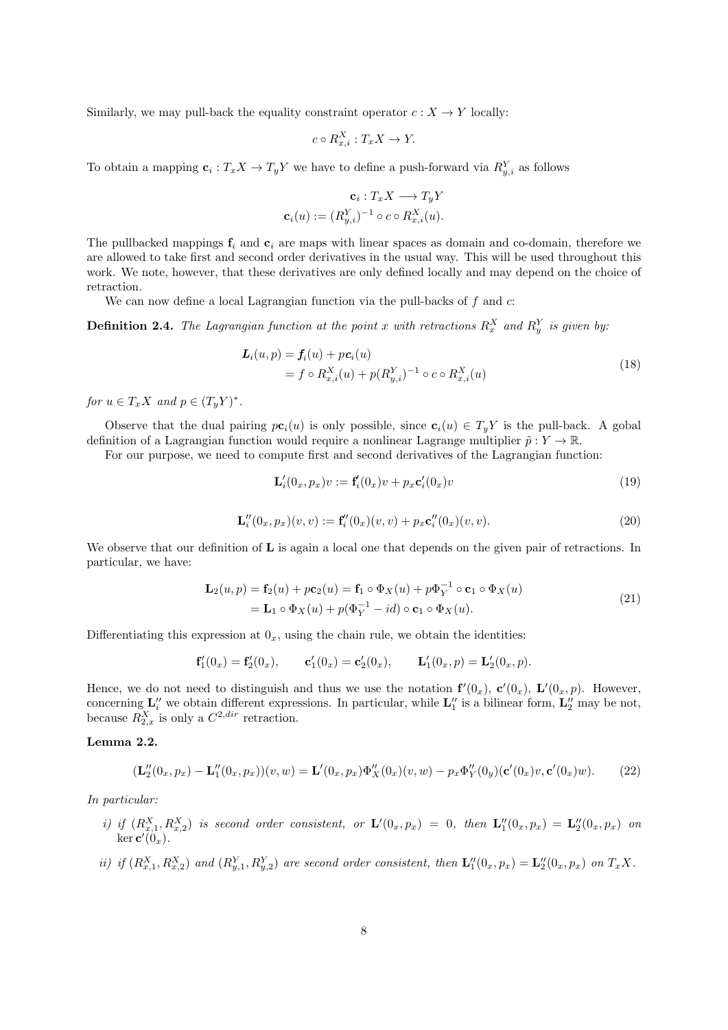Similarly, we may pull-back the equality constraint operator  $c: X \to Y$  locally:

$$
c \circ R_{x,i}^X : T_x X \to Y.
$$

To obtain a mapping  $c_i: T_x X \to T_y Y$  we have to define a push-forward via  $R_{y,i}^Y$  as follows

$$
\mathbf{c}_i: T_x X \longrightarrow T_y Y
$$

$$
\mathbf{c}_i(u) := (R_{y,i}^Y)^{-1} \circ c \circ R_{x,i}^X(u).
$$

The pullbacked mappings  $f_i$  and  $c_i$  are maps with linear spaces as domain and co-domain, therefore we are allowed to take first and second order derivatives in the usual way. This will be used throughout this work. We note, however, that these derivatives are only defined locally and may depend on the choice of retraction.

We can now define a local Lagrangian function via the pull-backs of  $f$  and  $c$ :

**Definition 2.4.** The Lagrangian function at the point x with retractions  $R_x^X$  and  $R_y^Y$  is given by.

$$
\begin{aligned} \n\mathbf{L}_i(u, p) &= \mathbf{f}_i(u) + p\mathbf{c}_i(u) \\ \n&= f \circ R_{x,i}^X(u) + p(R_{y,i}^Y)^{-1} \circ c \circ R_{x,i}^X(u) \n\end{aligned} \tag{18}
$$

for  $u \in T_x X$  and  $p \in (T_y Y)^*$ .

Observe that the dual pairing  $pc_i(u)$  is only possible, since  $c_i(u) \in T_yY$  is the pull-back. A gobal definition of a Lagrangian function would require a nonlinear Lagrange multiplier  $\tilde{p}: Y \to \mathbb{R}$ .

For our purpose, we need to compute first and second derivatives of the Lagrangian function:

$$
\mathbf{L}'_i(0_x, p_x)v := \mathbf{f}'_i(0_x)v + p_x \mathbf{c}'_i(0_x)v \tag{19}
$$

$$
\mathbf{L}_{i}''(0_x, p_x)(v, v) := \mathbf{f}_{i}'(0_x)(v, v) + p_x \mathbf{c}_{i}'(0_x)(v, v).
$$
 (20)

We observe that our definition of **L** is again a local one that depends on the given pair of retractions. In particular, we have:

$$
\mathbf{L}_2(u,p) = \mathbf{f}_2(u) + p\mathbf{c}_2(u) = \mathbf{f}_1 \circ \Phi_X(u) + p\Phi_Y^{-1} \circ \mathbf{c}_1 \circ \Phi_X(u)
$$
  
=  $\mathbf{L}_1 \circ \Phi_X(u) + p(\Phi_Y^{-1} - id) \circ \mathbf{c}_1 \circ \Phi_X(u).$  (21)

Differentiating this expression at  $0_x$ , using the chain rule, we obtain the identities:

$$
\mathbf{f}'_1(0_x) = \mathbf{f}'_2(0_x), \qquad \mathbf{c}'_1(0_x) = \mathbf{c}'_2(0_x), \qquad \mathbf{L}'_1(0_x, p) = \mathbf{L}'_2(0_x, p).
$$

Hence, we do not need to distinguish and thus we use the notation  $f'(0_x)$ ,  $c'(0_x)$ ,  $L'(0_x, p)$ . However, concerning  $\mathbf{L}''_i$  we obtain different expressions. In particular, while  $\mathbf{L}''_1$  is a bilinear form,  $\mathbf{L}''_2$  may be not, because  $R_{2,x}^X$  is only a  $C^{2,dir}$  retraction.

### Lemma 2.2.

$$
(\mathbf{L}_2''(0_x, p_x) - \mathbf{L}_1''(0_x, p_x))(v, w) = \mathbf{L}'(0_x, p_x)\Phi_X''(0_x)(v, w) - p_x\Phi_Y''(0_y)(\mathbf{c}'(0_x)v, \mathbf{c}'(0_x)w).
$$
(22)

In particular:

- i) if  $(R_{x,1}^X, R_{x,2}^X)$  is second order consistent, or  $\mathbf{L}'(0_x, p_x) = 0$ , then  $\mathbf{L}_1''(0_x, p_x) = \mathbf{L}_2''(0_x, p_x)$  on ker c  $\overline{1}$  $(0_x).$
- ii) if  $(R_{x,1}^X, R_{x,2}^X)$  and  $(R_{y,1}^Y, R_{y,2}^Y)$  are second order consistent, then  $\mathbf{L}_1''(0_x, p_x) = \mathbf{L}_2''(0_x, p_x)$  on  $T_xX$ .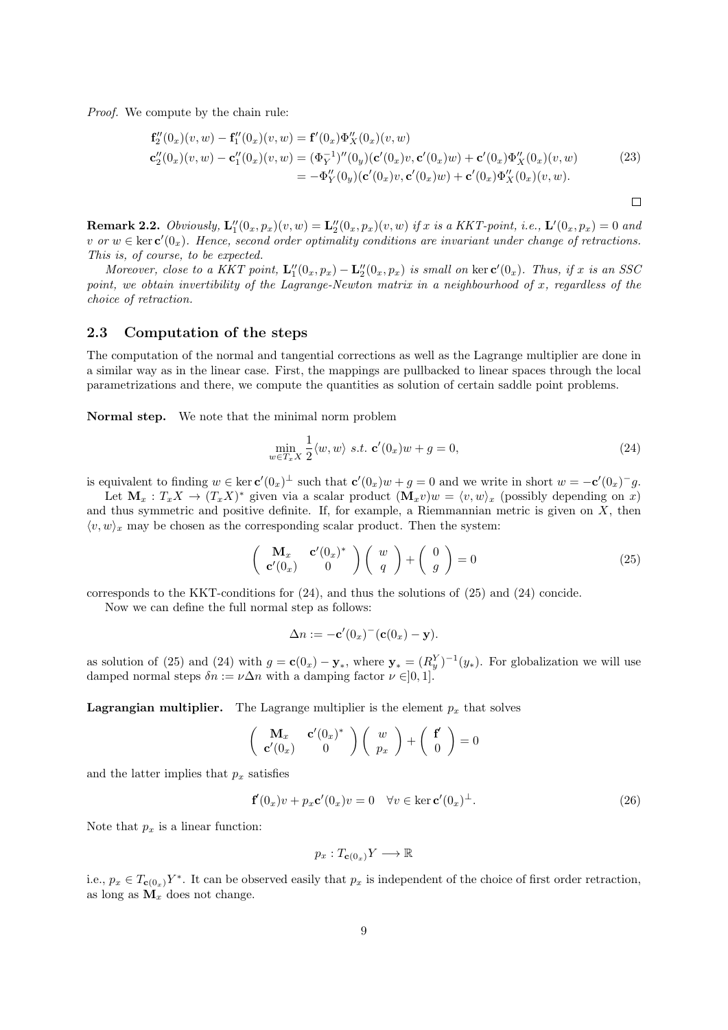Proof. We compute by the chain rule:

$$
\mathbf{f}_{2}''(0_{x})(v, w) - \mathbf{f}_{1}''(0_{x})(v, w) = \mathbf{f}'(0_{x})\Phi_{X}''(0_{x})(v, w)
$$
  
\n
$$
\mathbf{c}_{2}''(0_{x})(v, w) - \mathbf{c}_{1}''(0_{x})(v, w) = (\Phi_{Y}^{-1})''(0_{y})(\mathbf{c}'(0_{x})v, \mathbf{c}'(0_{x})w) + \mathbf{c}'(0_{x})\Phi_{X}''(0_{x})(v, w)
$$
  
\n
$$
= -\Phi_{Y}''(0_{y})(\mathbf{c}'(0_{x})v, \mathbf{c}'(0_{x})w) + \mathbf{c}'(0_{x})\Phi_{X}''(0_{x})(v, w).
$$
\n(23)

**Remark 2.2.** Obviously,  $\mathbf{L}_1''(0_x, p_x)(v, w) = \mathbf{L}_2''(0_x, p_x)(v, w)$  if x is a KKT-point, i.e.,  $\mathbf{L}'(0_x, p_x) = 0$  and v or  $w \in \text{ker } c'(0_x)$ . Hence, second order optimality conditions are invariant under change of retractions. This is, of course, to be expected.

Moreover, close to a KKT point,  $\mathbf{L}_1''(0_x, p_x) - \mathbf{L}_2''(0_x, p_x)$  is small on ker  $\mathbf{c}'(0_x)$ . Thus, if x is an SSC point, we obtain invertibility of the Lagrange-Newton matrix in a neighbourhood of x, regardless of the choice of retraction.

### 2.3 Computation of the steps

The computation of the normal and tangential corrections as well as the Lagrange multiplier are done in a similar way as in the linear case. First, the mappings are pullbacked to linear spaces through the local parametrizations and there, we compute the quantities as solution of certain saddle point problems.

Normal step. We note that the minimal norm problem

$$
\min_{w \in T_x X} \frac{1}{2} \langle w, w \rangle \ s.t. \ \mathbf{c}'(0_x)w + g = 0,\tag{24}
$$

 $\Box$ 

is equivalent to finding  $w \in \ker \mathbf{c}'(0_x)^\perp$  such that  $\mathbf{c}'(0_x)w + g = 0$  and we write in short  $w = -\mathbf{c}'(0_x)^\perp g$ .

Let  $\mathbf{M}_x : T_x X \to (T_x X)^*$  given via a scalar product  $(\mathbf{M}_x v)w = \langle v, w \rangle_x$  (possibly depending on x) and thus symmetric and positive definite. If, for example, a Riemmannian metric is given on  $X$ , then  $\langle v, w \rangle_x$  may be chosen as the corresponding scalar product. Then the system:

$$
\begin{pmatrix}\n\mathbf{M}_x & \mathbf{c}'(0_x)^* \\
\mathbf{c}'(0_x) & 0\n\end{pmatrix}\n\begin{pmatrix}\nw \\
q\n\end{pmatrix} +\n\begin{pmatrix}\n0 \\
g\n\end{pmatrix} = 0
$$
\n(25)

corresponds to the KKT-conditions for (24), and thus the solutions of (25) and (24) concide.

Now we can define the full normal step as follows:

$$
\Delta n := -\mathbf{c}'(0_x)^{-1}(\mathbf{c}(0_x) - \mathbf{y}).
$$

as solution of (25) and (24) with  $g = c(0_x) - y_*,$  where  $y_* = (R_y^Y)^{-1}(y_*)$ . For globalization we will use damped normal steps  $\delta n := \nu \Delta n$  with a damping factor  $\nu \in ]0,1].$ 

**Lagrangian multiplier.** The Lagrange multiplier is the element  $p_x$  that solves

$$
\begin{pmatrix} \mathbf{M}_x & \mathbf{c}'(0_x)^* \\ \mathbf{c}'(0_x) & 0 \end{pmatrix} \begin{pmatrix} w \\ p_x \end{pmatrix} + \begin{pmatrix} \mathbf{f}' \\ 0 \end{pmatrix} = 0
$$

and the latter implies that  $p_x$  satisfies

$$
\mathbf{f}'(0_x)v + p_x \mathbf{c}'(0_x)v = 0 \quad \forall v \in \ker \mathbf{c}'(0_x)^{\perp}.
$$
 (26)

Note that  $p_x$  is a linear function:

$$
p_x: T_{\mathbf{c}(0_x)}Y \longrightarrow \mathbb{R}
$$

i.e.,  $p_x \in T_{\mathbf{c}(0_x)} Y^*$ . It can be observed easily that  $p_x$  is independent of the choice of first order retraction, as long as  $\mathbf{M}_x$  does not change.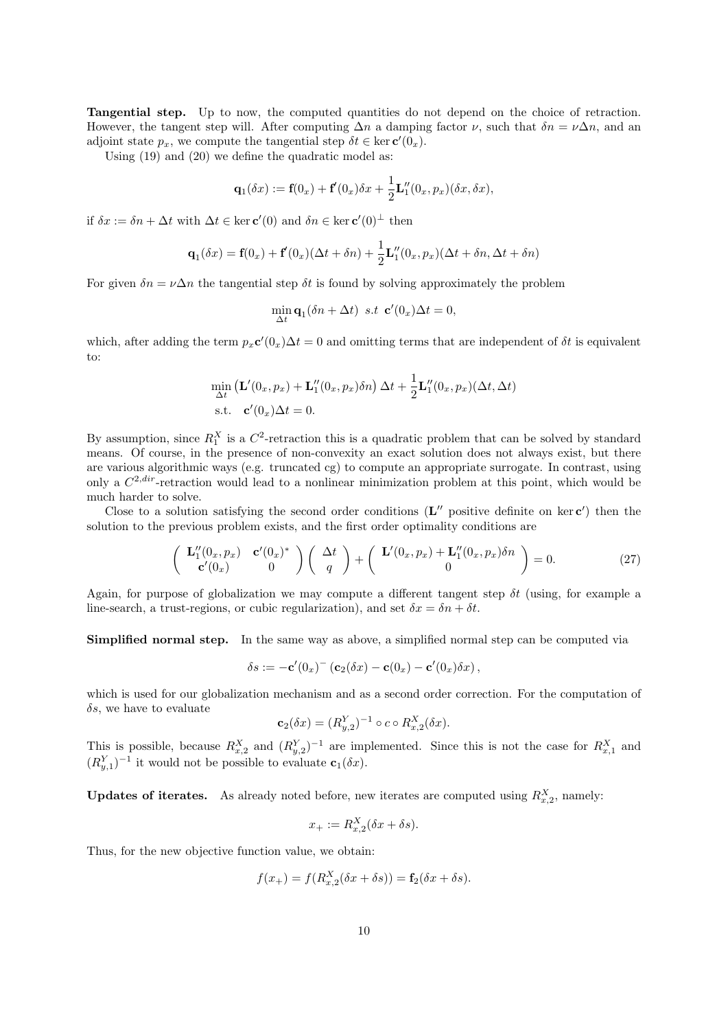Tangential step. Up to now, the computed quantities do not depend on the choice of retraction. However, the tangent step will. After computing  $\Delta n$  a damping factor  $\nu$ , such that  $\delta n = \nu \Delta n$ , and an adjoint state  $p_x$ , we compute the tangential step  $\delta t \in \text{ker } \mathbf{c}'(0_x)$ .

Using (19) and (20) we define the quadratic model as:

$$
\mathbf{q}_1(\delta x) := \mathbf{f}(0_x) + \mathbf{f}'(0_x)\delta x + \frac{1}{2}\mathbf{L}_1''(0_x, p_x)(\delta x, \delta x),
$$

if  $\delta x := \delta n + \Delta t$  with  $\Delta t \in \ker \mathbf{c}'(0)$  and  $\delta n \in \ker \mathbf{c}'(0)^\perp$  then

$$
\mathbf{q}_1(\delta x) = \mathbf{f}(0_x) + \mathbf{f}'(0_x)(\Delta t + \delta n) + \frac{1}{2}\mathbf{L}_1''(0_x, p_x)(\Delta t + \delta n, \Delta t + \delta n)
$$

For given  $\delta n = \nu \Delta n$  the tangential step  $\delta t$  is found by solving approximately the problem

$$
\min_{\Delta t} \mathbf{q}_1(\delta n + \Delta t) \ \ s.t \ \ \mathbf{c}'(0_x)\Delta t = 0,
$$

which, after adding the term  $p_x c'(0_x) \Delta t = 0$  and omitting terms that are independent of  $\delta t$  is equivalent to:

$$
\min_{\Delta t} \left( \mathbf{L}'(0_x, p_x) + \mathbf{L}_1''(0_x, p_x) \delta n \right) \Delta t + \frac{1}{2} \mathbf{L}_1''(0_x, p_x) (\Delta t, \Delta t)
$$
  
s.t.  $\mathbf{c}'(0_x) \Delta t = 0$ .

By assumption, since  $R_1^X$  is a  $C^2$ -retraction this is a quadratic problem that can be solved by standard means. Of course, in the presence of non-convexity an exact solution does not always exist, but there are various algorithmic ways (e.g. truncated cg) to compute an appropriate surrogate. In contrast, using only a  $C^{2,dir}$ -retraction would lead to a nonlinear minimization problem at this point, which would be much harder to solve.

Close to a solution satisfying the second order conditions  $(\mathbf{L}''$  positive definite on ker  $\mathbf{c}'$ ) then the solution to the previous problem exists, and the first order optimality conditions are

$$
\begin{pmatrix}\n\mathbf{L}_1''(0_x, p_x) & \mathbf{c}'(0_x)^* \\
\mathbf{c}'(0_x) & 0\n\end{pmatrix}\n\begin{pmatrix}\n\Delta t \\
q\n\end{pmatrix} +\n\begin{pmatrix}\n\mathbf{L}'(0_x, p_x) + \mathbf{L}_1''(0_x, p_x)\delta n \\
0\n\end{pmatrix} = 0.
$$
\n(27)

Again, for purpose of globalization we may compute a different tangent step  $\delta t$  (using, for example a line-search, a trust-regions, or cubic regularization), and set  $\delta x = \delta n + \delta t$ .

Simplified normal step. In the same way as above, a simplified normal step can be computed via

$$
\delta s := -\mathbf{c}'(0_x)^{-1}(\mathbf{c}_2(\delta x) - \mathbf{c}(0_x) - \mathbf{c}'(0_x)\delta x),
$$

which is used for our globalization mechanism and as a second order correction. For the computation of  $\delta s$ , we have to evaluate

$$
\mathbf{c}_2(\delta x) = (R_{y,2}^Y)^{-1} \circ c \circ R_{x,2}^X(\delta x).
$$

This is possible, because  $R_{x,2}^X$  and  $(R_{y,2}^Y)^{-1}$  are implemented. Since this is not the case for  $R_{x,1}^X$  and  $(R_{y,1}^Y)^{-1}$  it would not be possible to evaluate  $\mathbf{c}_1(\delta x)$ .

**Updates of iterates.** As already noted before, new iterates are computed using  $R_{x,2}^X$ , namely:

$$
x_{+} := R_{x,2}^{X}(\delta x + \delta s).
$$

Thus, for the new objective function value, we obtain:

$$
f(x_{+}) = f(R_{x,2}^{X}(\delta x + \delta s)) = \mathbf{f}_{2}(\delta x + \delta s).
$$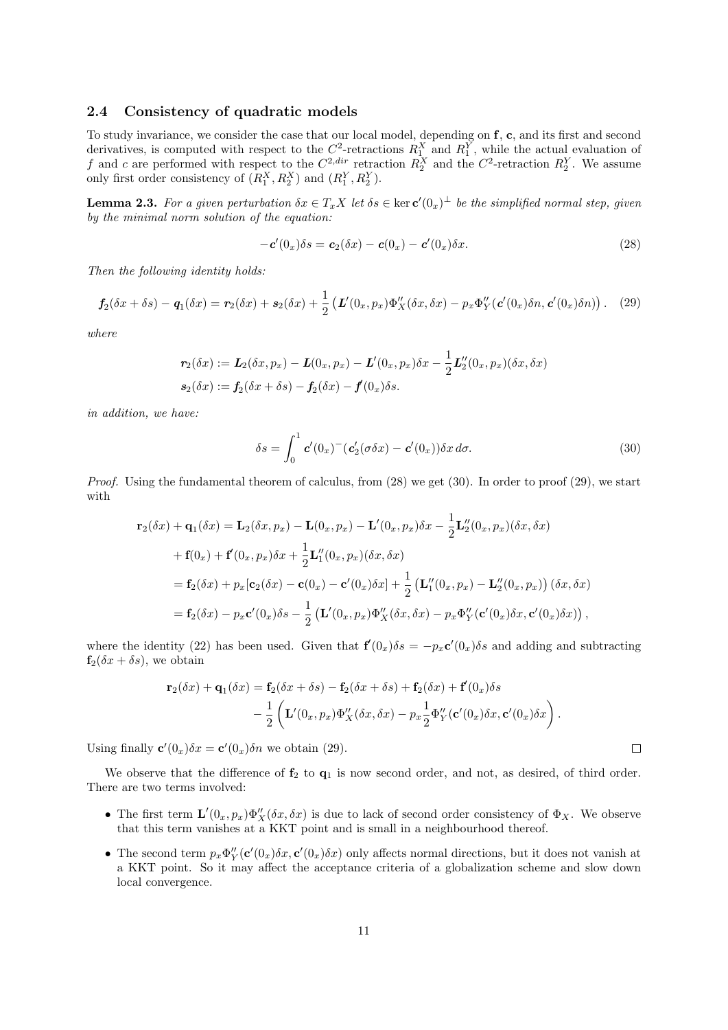### 2.4 Consistency of quadratic models

To study invariance, we consider the case that our local model, depending on f, c, and its first and second derivatives, is computed with respect to the  $C^2$ -retractions  $R_1^X$  and  $R_1^Y$ , while the actual evaluation of f and c are performed with respect to the  $C^{2,dir}$  retraction  $R_2^X$  and the  $C^2$ -retraction  $R_2^Y$ . We assume only first order consistency of  $(R_1^X, R_2^X)$  and  $(R_1^Y, R_2^Y)$ .

**Lemma 2.3.** For a given perturbation  $\delta x \in T_x X$  let  $\delta s \in \ker c'(0_x)^\perp$  be the simplified normal step, given by the minimal norm solution of the equation:

$$
-c'(0_x)\delta s = c_2(\delta x) - c(0_x) - c'(0_x)\delta x.
$$
\n(28)

Then the following identity holds:

$$
f_2(\delta x + \delta s) - q_1(\delta x) = r_2(\delta x) + s_2(\delta x) + \frac{1}{2} \left( L'(0_x, p_x) \Phi''_X(\delta x, \delta x) - p_x \Phi''_Y(c'(0_x) \delta n, c'(0_x) \delta n) \right). \tag{29}
$$

where

$$
\mathbf{r}_2(\delta x) := \mathbf{L}_2(\delta x, p_x) - \mathbf{L}(0_x, p_x) - \mathbf{L}'(0_x, p_x)\delta x - \frac{1}{2}\mathbf{L}'_2(0_x, p_x)(\delta x, \delta x)
$$

$$
\mathbf{s}_2(\delta x) := \mathbf{f}_2(\delta x + \delta s) - \mathbf{f}_2(\delta x) - \mathbf{f}'(0_x)\delta s.
$$

in addition, we have:

$$
\delta s = \int_0^1 \mathbf{c}'(0_x)^{-1} (\mathbf{c}'_2(\sigma \delta x) - \mathbf{c}'(0_x)) \delta x \, d\sigma. \tag{30}
$$

Proof. Using the fundamental theorem of calculus, from  $(28)$  we get  $(30)$ . In order to proof  $(29)$ , we start with

$$
\mathbf{r}_2(\delta x) + \mathbf{q}_1(\delta x) = \mathbf{L}_2(\delta x, p_x) - \mathbf{L}(0_x, p_x) - \mathbf{L}'(0_x, p_x)\delta x - \frac{1}{2}\mathbf{L}_2''(0_x, p_x)(\delta x, \delta x)
$$
  
+  $\mathbf{f}(0_x) + \mathbf{f}'(0_x, p_x)\delta x + \frac{1}{2}\mathbf{L}_1''(0_x, p_x)(\delta x, \delta x)$   
=  $\mathbf{f}_2(\delta x) + p_x[\mathbf{c}_2(\delta x) - \mathbf{c}(0_x) - \mathbf{c}'(0_x)\delta x] + \frac{1}{2} (\mathbf{L}_1''(0_x, p_x) - \mathbf{L}_2''(0_x, p_x)) (\delta x, \delta x)$   
=  $\mathbf{f}_2(\delta x) - p_x \mathbf{c}'(0_x)\delta s - \frac{1}{2} (\mathbf{L}'(0_x, p_x)\Phi_X''(\delta x, \delta x) - p_x \Phi_Y''(\mathbf{c}'(0_x)\delta x, \mathbf{c}'(0_x)\delta x)),$ 

where the identity (22) has been used. Given that  $f'(0_x)\delta s = -p_x c'(0_x)\delta s$  and adding and subtracting  $f_2(\delta x + \delta s)$ , we obtain

$$
\mathbf{r}_2(\delta x) + \mathbf{q}_1(\delta x) = \mathbf{f}_2(\delta x + \delta s) - \mathbf{f}_2(\delta x + \delta s) + \mathbf{f}_2(\delta x) + \mathbf{f}'(0_x)\delta s
$$
  
 
$$
- \frac{1}{2} \left( \mathbf{L}'(0_x, p_x) \Phi''_X(\delta x, \delta x) - p_x \frac{1}{2} \Phi''_Y(\mathbf{c}'(0_x) \delta x, \mathbf{c}'(0_x) \delta x) \right).
$$

Using finally  $\mathbf{c}'(0_x)\delta x = \mathbf{c}'(0_x)\delta n$  we obtain (29).

We observe that the difference of  $f_2$  to  $q_1$  is now second order, and not, as desired, of third order. There are two terms involved:

- The first term  $\mathbf{L}'(0_x, p_x) \Phi''_X(\delta x, \delta x)$  is due to lack of second order consistency of  $\Phi_X$ . We observe that this term vanishes at a KKT point and is small in a neighbourhood thereof.
- The second term  $p_x \Phi''_Y(c'(0_x)\delta x, c'(0_x)\delta x)$  only affects normal directions, but it does not vanish at a KKT point. So it may affect the acceptance criteria of a globalization scheme and slow down local convergence.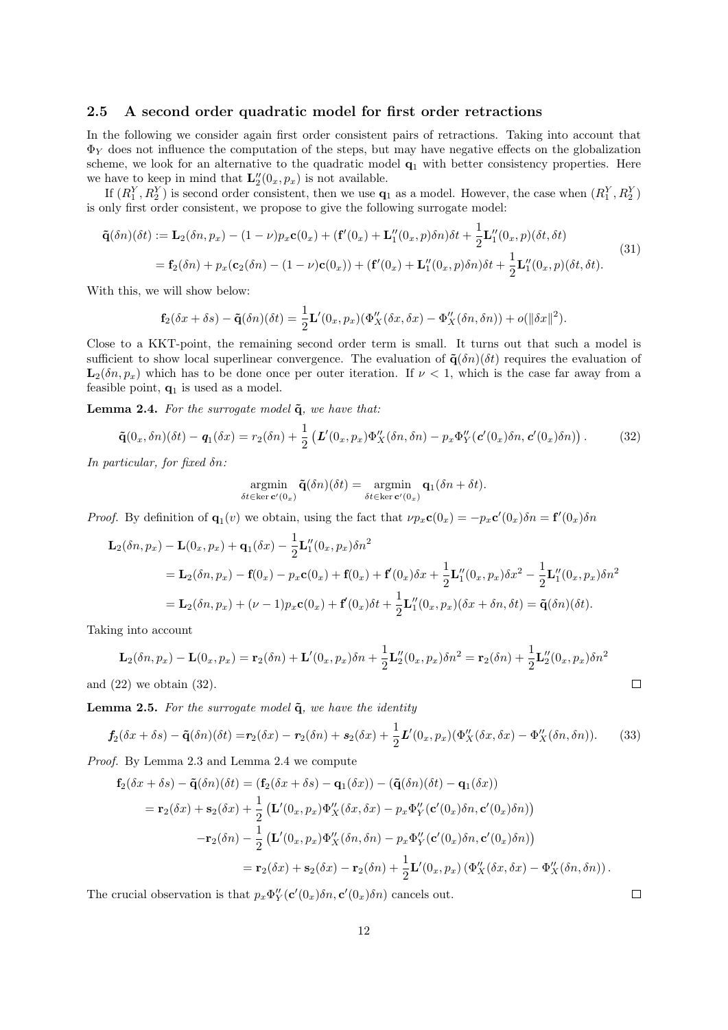### 2.5 A second order quadratic model for first order retractions

In the following we consider again first order consistent pairs of retractions. Taking into account that  $\Phi_Y$  does not influence the computation of the steps, but may have negative effects on the globalization scheme, we look for an alternative to the quadratic model  $q_1$  with better consistency properties. Here we have to keep in mind that  $\mathbf{L}_2''(0_x, p_x)$  is not available.

If  $(R_1^Y, R_2^Y)$  is second order consistent, then we use  $q_1$  as a model. However, the case when  $(R_1^Y, R_2^Y)$ is only first order consistent, we propose to give the following surrogate model:

$$
\tilde{\mathbf{q}}(\delta n)(\delta t) := \mathbf{L}_2(\delta n, p_x) - (1 - \nu)p_x \mathbf{c}(0_x) + (\mathbf{f}'(0_x) + \mathbf{L}_1''(0_x, p)\delta n)\delta t + \frac{1}{2}\mathbf{L}_1''(0_x, p)(\delta t, \delta t)
$$
\n
$$
= \mathbf{f}_2(\delta n) + p_x(\mathbf{c}_2(\delta n) - (1 - \nu)\mathbf{c}(0_x)) + (\mathbf{f}'(0_x) + \mathbf{L}_1''(0_x, p)\delta n)\delta t + \frac{1}{2}\mathbf{L}_1''(0_x, p)(\delta t, \delta t).
$$
\n(31)

With this, we will show below:

$$
\mathbf{f}_2(\delta x + \delta s) - \mathbf{\tilde{q}}(\delta n)(\delta t) = \frac{1}{2}\mathbf{L}'(0_x, p_x)(\Phi''_X(\delta x, \delta x) - \Phi''_X(\delta n, \delta n)) + o(\|\delta x\|^2).
$$

Close to a KKT-point, the remaining second order term is small. It turns out that such a model is sufficient to show local superlinear convergence. The evaluation of  $\tilde{\mathbf{q}}(\delta n)(\delta t)$  requires the evaluation of  $\mathbf{L}_2(\delta n, p_x)$  which has to be done once per outer iteration. If  $\nu < 1$ , which is the case far away from a feasible point,  $q_1$  is used as a model.

Lemma 2.4. For the surrogate model  $\tilde{q}$ , we have that:

$$
\tilde{\mathbf{q}}(0_x,\delta n)(\delta t) - \mathbf{q}_1(\delta x) = r_2(\delta n) + \frac{1}{2} \left( \mathbf{L}'(0_x,p_x) \Phi''_X(\delta n,\delta n) - p_x \Phi''_Y(\mathbf{c}'(0_x)\delta n,\mathbf{c}'(0_x)\delta n) \right). \tag{32}
$$

In particular, for fixed δn:

$$
\underset{\delta t \in \ker \mathbf{c}'(0_x)}{\operatorname{argmin}} \tilde{\mathbf{q}}(\delta n)(\delta t) = \underset{\delta t \in \ker \mathbf{c}'(0_x)}{\operatorname{argmin}} \mathbf{q}_1(\delta n + \delta t).
$$

*Proof.* By definition of  $\mathbf{q}_1(v)$  we obtain, using the fact that  $\nu p_x \mathbf{c}(0_x) = -p_x \mathbf{c}'(0_x) \delta n = \mathbf{f}'(0_x) \delta n$ 

$$
\mathbf{L}_{2}(\delta n, p_{x}) - \mathbf{L}(0_{x}, p_{x}) + \mathbf{q}_{1}(\delta x) - \frac{1}{2}\mathbf{L}_{1}^{"}(0_{x}, p_{x})\delta n^{2}
$$
\n
$$
= \mathbf{L}_{2}(\delta n, p_{x}) - \mathbf{f}(0_{x}) - p_{x}\mathbf{c}(0_{x}) + \mathbf{f}(0_{x}) + \mathbf{f}'(0_{x})\delta x + \frac{1}{2}\mathbf{L}_{1}^{"}(0_{x}, p_{x})\delta x^{2} - \frac{1}{2}\mathbf{L}_{1}^{"}(0_{x}, p_{x})\delta n^{2}
$$
\n
$$
= \mathbf{L}_{2}(\delta n, p_{x}) + (\nu - 1)p_{x}\mathbf{c}(0_{x}) + \mathbf{f}'(0_{x})\delta t + \frac{1}{2}\mathbf{L}_{1}^{"}(0_{x}, p_{x})(\delta x + \delta n, \delta t) = \tilde{\mathbf{q}}(\delta n)(\delta t).
$$

Taking into account

$$
\mathbf{L}_{2}(\delta n, p_x) - \mathbf{L}(0_x, p_x) = \mathbf{r}_{2}(\delta n) + \mathbf{L}'(0_x, p_x)\delta n + \frac{1}{2}\mathbf{L}'_2(0_x, p_x)\delta n^2 = \mathbf{r}_{2}(\delta n) + \frac{1}{2}\mathbf{L}'_2(0_x, p_x)\delta n^2
$$
  
22) we obtain (32).

and  $(22)$  we obtain  $(32)$ .

**Lemma 2.5.** For the surrogate model  $\tilde{q}$ , we have the identity

$$
\mathbf{f}_2(\delta x + \delta s) - \tilde{\mathbf{q}}(\delta n)(\delta t) = \mathbf{r}_2(\delta x) - \mathbf{r}_2(\delta n) + \mathbf{s}_2(\delta x) + \frac{1}{2}\mathbf{L}'(0_x, p_x)(\Phi''_X(\delta x, \delta x) - \Phi''_X(\delta n, \delta n)).
$$
 (33)

Proof. By Lemma 2.3 and Lemma 2.4 we compute

$$
\mathbf{f}_2(\delta x + \delta s) - \tilde{\mathbf{q}}(\delta n)(\delta t) = (\mathbf{f}_2(\delta x + \delta s) - \mathbf{q}_1(\delta x)) - (\tilde{\mathbf{q}}(\delta n)(\delta t) - \mathbf{q}_1(\delta x))
$$
\n
$$
= \mathbf{r}_2(\delta x) + \mathbf{s}_2(\delta x) + \frac{1}{2} (\mathbf{L}'(0_x, p_x) \Phi_X''(\delta x, \delta x) - p_x \Phi_Y''(\mathbf{c}'(0_x)\delta n, \mathbf{c}'(0_x)\delta n))
$$
\n
$$
- \mathbf{r}_2(\delta n) - \frac{1}{2} (\mathbf{L}'(0_x, p_x) \Phi_X''(\delta n, \delta n) - p_x \Phi_Y''(\mathbf{c}'(0_x)\delta n, \mathbf{c}'(0_x)\delta n))
$$
\n
$$
= \mathbf{r}_2(\delta x) + \mathbf{s}_2(\delta x) - \mathbf{r}_2(\delta n) + \frac{1}{2} \mathbf{L}'(0_x, p_x) (\Phi_X''(\delta x, \delta x) - \Phi_X''(\delta n, \delta n)).
$$

The crucial observation is that  $p_x \Phi''_Y(\mathbf{c}'(0_x)\delta n, \mathbf{c}'(0_x)\delta n)$  cancels out.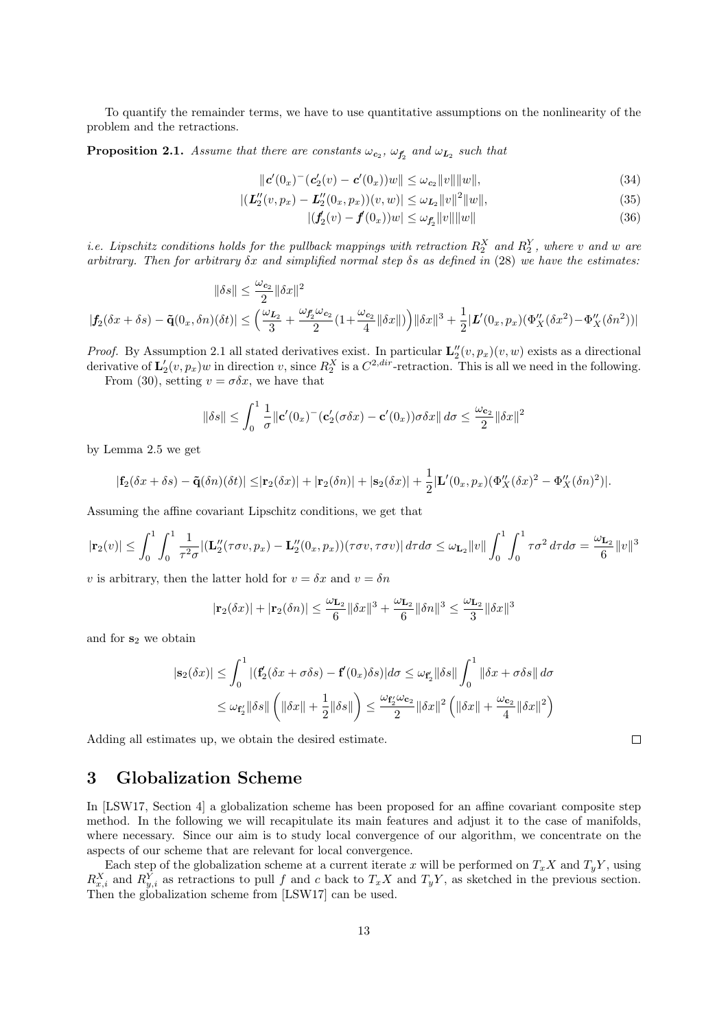To quantify the remainder terms, we have to use quantitative assumptions on the nonlinearity of the problem and the retractions.

**Proposition 2.1.** Assume that there are constants  $\omega_{c_2}$ ,  $\omega_{f_2}$  and  $\omega_{L_2}$  such that

$$
\|\mathbf{c}'(0_x)^{-}(\mathbf{c}'_2(v) - \mathbf{c}'(0_x))w\| \leq \omega_{\mathbf{c}_2} \|v\| \|w\|,
$$
\n(34)

$$
|(\mathbf{L}_2''(v, p_x) - \mathbf{L}_2''(0_x, p_x))(v, w)| \leq \omega_{\mathbf{L}_2} ||v||^2 ||w||,
$$
\n(35)

$$
| (f_2(v) - f(0_x))w | \le \omega_{f_2'} \|v\| \|w\|
$$
\n(36)

*i.e.* Lipschitz conditions holds for the pullback mappings with retraction  $R_2^X$  and  $R_2^Y$ , where v and w are arbitrary. Then for arbitrary  $\delta x$  and simplified normal step  $\delta s$  as defined in (28) we have the estimates:

$$
\begin{aligned} \|\delta s\| & \leq \frac{\omega_{c_2}}{2}\|\delta x\|^2\\ |\textbf{\textit{f}}_2(\delta x + \delta s) - \tilde{\textbf{q}}(0_x,\delta n)(\delta t)| & \leq \Big(\frac{\omega_{L_2}}{3} + \frac{\omega_{\textbf{\textit{f}}_2}\omega_{c_2}}{2}(1 + \frac{\omega_{c_2}}{4}\|\delta x\|)\Big)\|\delta x\|^3 + \frac{1}{2}|\textbf{\textit{L}}'(0_x,p_x)(\Phi^{\prime\prime}_X(\delta x^2) - \Phi^{\prime\prime}_X(\delta n^2))| \end{aligned}
$$

*Proof.* By Assumption 2.1 all stated derivatives exist. In particular  $\mathbf{L}_2''(v, p_x)(v, w)$  exists as a directional derivative of  $\mathbf{L}'_2(v, p_x)w$  in direction v, since  $R_2^X$  is a  $C^{2,dir}$ -retraction. This is all we need in the following.

From (30), setting  $v = \sigma \delta x$ , we have that

$$
\|\delta s\| \le \int_0^1 \frac{1}{\sigma} \|\mathbf{c}'(0_x)^-(\mathbf{c}'_2(\sigma \delta x) - \mathbf{c}'(0_x))\sigma \delta x\| d\sigma \le \frac{\omega_{\mathbf{c}_2}}{2} \|\delta x\|^2
$$

by Lemma 2.5 we get

$$
|\mathbf{f}_2(\delta x + \delta s) - \tilde{\mathbf{q}}(\delta n)(\delta t)| \leq |\mathbf{r}_2(\delta x)| + |\mathbf{r}_2(\delta n)| + |\mathbf{s}_2(\delta x)| + \frac{1}{2}|\mathbf{L}'(0_x, p_x)(\Phi''_X(\delta x)^2 - \Phi''_X(\delta n)^2)|.
$$

Assuming the affine covariant Lipschitz conditions, we get that

$$
|\mathbf{r}_2(v)| \leq \int_0^1 \int_0^1 \frac{1}{\tau^2 \sigma} |(\mathbf{L}_2''(\tau \sigma v, p_x) - \mathbf{L}_2''(0_x, p_x))(\tau \sigma v, \tau \sigma v)| d\tau d\sigma \leq \omega_{\mathbf{L}_2} ||v|| \int_0^1 \int_0^1 \tau \sigma^2 d\tau d\sigma = \frac{\omega_{\mathbf{L}_2}}{6} ||v||^3
$$

v is arbitrary, then the latter hold for  $v = \delta x$  and  $v = \delta n$ 

$$
|\mathbf{r}_2(\delta x)|+|\mathbf{r}_2(\delta n)|\leq \frac{\omega_{\mathbf{L}_2}}{6}\|\delta x\|^3+\frac{\omega_{\mathbf{L}_2}}{6}\|\delta n\|^3\leq \frac{\omega_{\mathbf{L}_2}}{3}\|\delta x\|^3
$$

and for  $s_2$  we obtain

$$
|\mathbf{s}_2(\delta x)| \leq \int_0^1 |(\mathbf{f}_2'(\delta x + \sigma \delta s) - \mathbf{f}'(0_x)\delta s)| d\sigma \leq \omega_{\mathbf{f}_2'} \|\delta s\| \int_0^1 \|\delta x + \sigma \delta s\| d\sigma
$$
  

$$
\leq \omega_{\mathbf{f}_2'} \|\delta s\| \left( \|\delta x\| + \frac{1}{2} \|\delta s\| \right) \leq \frac{\omega_{\mathbf{f}_2'} \omega_{\mathbf{c}_2}}{2} \|\delta x\|^2 \left( \|\delta x\| + \frac{\omega_{\mathbf{c}_2}}{4} \|\delta x\|^2 \right)
$$

Adding all estimates up, we obtain the desired estimate.

## 3 Globalization Scheme

In [LSW17, Section 4] a globalization scheme has been proposed for an affine covariant composite step method. In the following we will recapitulate its main features and adjust it to the case of manifolds, where necessary. Since our aim is to study local convergence of our algorithm, we concentrate on the aspects of our scheme that are relevant for local convergence.

Each step of the globalization scheme at a current iterate x will be performed on  $T_xX$  and  $T_yY$ , using  $R_{x,i}^X$  and  $R_{y,i}^Y$  as retractions to pull f and c back to  $T_xX$  and  $T_yY$ , as sketched in the previous section. Then the globalization scheme from [LSW17] can be used.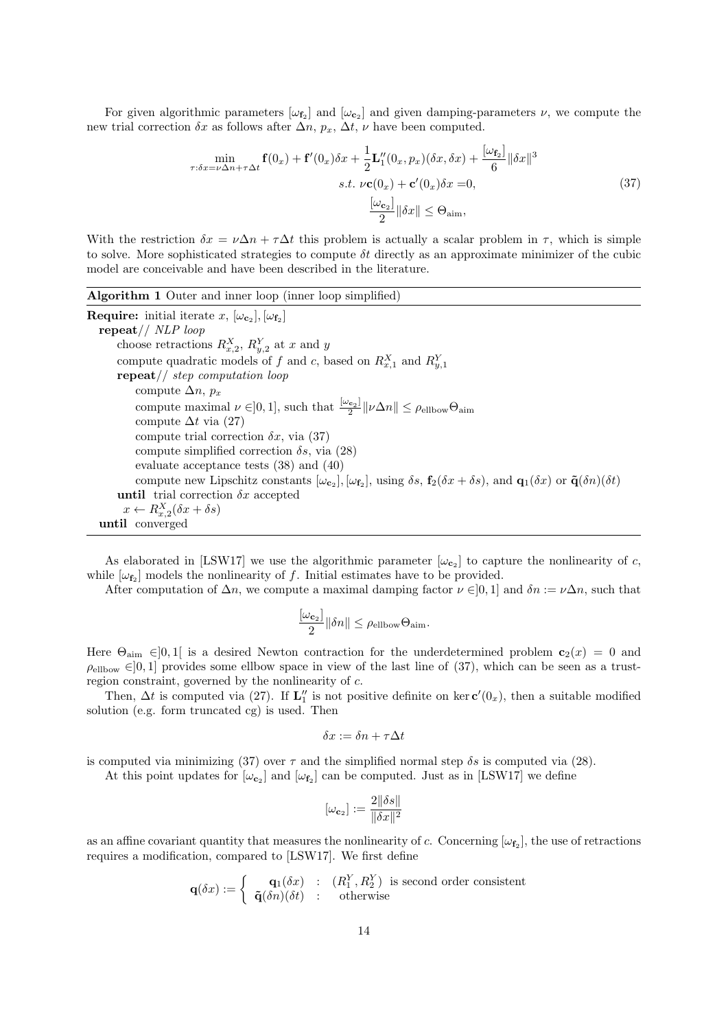For given algorithmic parameters  $[\omega_{f_2}]$  and  $[\omega_{c_2}]$  and given damping-parameters  $\nu$ , we compute the new trial correction  $\delta x$  as follows after  $\Delta n$ ,  $p_x$ ,  $\Delta t$ ,  $\nu$  have been computed.

$$
\min_{\tau:\delta x=\nu\Delta n+\tau\Delta t} \mathbf{f}(0_x) + \mathbf{f}'(0_x)\delta x + \frac{1}{2}\mathbf{L}_1''(0_x, p_x)(\delta x, \delta x) + \frac{[\omega_{\mathbf{f}_2}]}{6} ||\delta x||^3
$$
\n
$$
s.t. \nu \mathbf{c}(0_x) + \mathbf{c}'(0_x)\delta x = 0,
$$
\n
$$
\frac{[\omega_{\mathbf{c}_2}]}{2} ||\delta x|| \le \Theta_{\text{aim}},
$$
\n(37)

With the restriction  $\delta x = \nu \Delta n + \tau \Delta t$  this problem is actually a scalar problem in  $\tau$ , which is simple to solve. More sophisticated strategies to compute  $\delta t$  directly as an approximate minimizer of the cubic model are conceivable and have been described in the literature.

#### Algorithm 1 Outer and inner loop (inner loop simplified)

**Require:** initial iterate x,  $[\omega_{\mathbf{c}_2}]$ ,  $[\omega_{\mathbf{f}_2}]$ repeat// NLP loop choose retractions  $R_{x,2}^X$ ,  $R_{y,2}^Y$  at x and y compute quadratic models of f and c, based on  $R_{x,1}^X$  and  $R_{y,1}^Y$ repeat// step computation loop compute  $\Delta n$ ,  $p_x$ compute maximal  $\nu \in ]0,1]$ , such that  $\frac{[\omega_{\mathbf{c}_2}]}{2}$  $\frac{\mathcal{L}_{21}}{2}$   $\|\nu\Delta n\| \leq \rho_{\text{ellbow}}\Theta_{\text{aim}}$ compute  $\Delta t$  via (27) compute trial correction  $\delta x$ , via (37) compute simplified correction  $\delta s$ , via (28) evaluate acceptance tests (38) and (40) compute new Lipschitz constants  $[\omega_{\mathbf{c}_2}]$ ,  $[\omega_{\mathbf{f}_2}]$ , using  $\delta s$ ,  $\mathbf{f}_2(\delta x + \delta s)$ , and  $\mathbf{q}_1(\delta x)$  or  $\tilde{\mathbf{q}}(\delta n)(\delta t)$ until trial correction  $\delta x$  accepted  $x \leftarrow R_{x,2}^X(\delta x + \delta s)$ until converged

As elaborated in [LSW17] we use the algorithmic parameter  $[\omega_{\mathbf{c}_2}]$  to capture the nonlinearity of c, while  $[\omega_{f_2}]$  models the nonlinearity of f. Initial estimates have to be provided.

After computation of  $\Delta n$ , we compute a maximal damping factor  $\nu \in ]0,1]$  and  $\delta n := \nu \Delta n$ , such that

$$
\frac{[\omega_{\mathbf{c}_2}]}{2} \|\delta n\| \le \rho_{\text{ellbow}} \Theta_{\text{aim}}.
$$

Here  $\Theta_{\text{aim}} \in ]0,1[$  is a desired Newton contraction for the underdetermined problem  $c_2(x) = 0$  and  $\rho_{\text{ellbow}} \in ]0,1]$  provides some ellbow space in view of the last line of (37), which can be seen as a trustregion constraint, governed by the nonlinearity of c.

Then,  $\Delta t$  is computed via (27). If  $\mathbf{L}''_1$  is not positive definite on ker  $\mathbf{c}'(0_x)$ , then a suitable modified solution (e.g. form truncated cg) is used. Then

$$
\delta x := \delta n + \tau \Delta t
$$

is computed via minimizing (37) over  $\tau$  and the simplified normal step  $\delta s$  is computed via (28).

At this point updates for  $[\omega_{\mathbf{c}_2}]$  and  $[\omega_{\mathbf{f}_2}]$  can be computed. Just as in [LSW17] we define

$$
[\omega_{\mathbf{c}_2}] := \frac{2\|\delta s\|}{\|\delta x\|^2}
$$

as an affine covariant quantity that measures the nonlinearity of c. Concerning  $[\omega_{f_2}]$ , the use of retractions requires a modification, compared to [LSW17]. We first define

$$
\mathbf{q}(\delta x) := \left\{ \begin{array}{cl} \mathbf{q}_1(\delta x) & : & (R_1^Y, R_2^Y) \ \text{ is second order consistent} \\ \tilde{\mathbf{q}}(\delta n)(\delta t) & : & \text{otherwise} \end{array} \right.
$$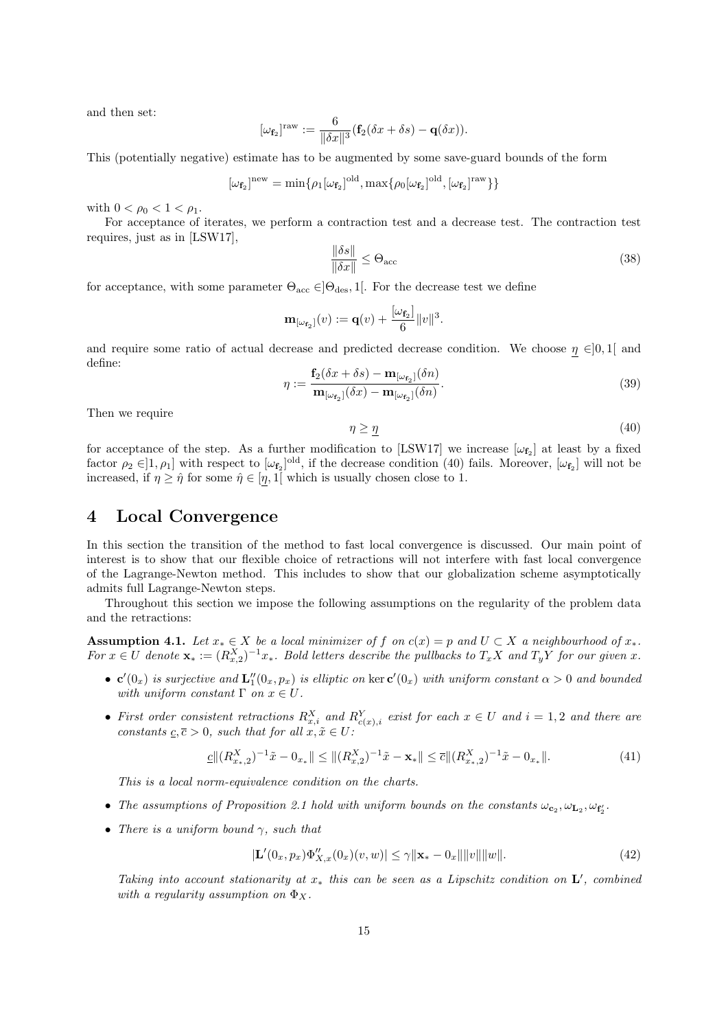and then set:

$$
[\omega_{\mathbf{f}_2}]^{\text{raw}} := \frac{6}{\|\delta x\|^3} (\mathbf{f}_2(\delta x + \delta s) - \mathbf{q}(\delta x)).
$$

This (potentially negative) estimate has to be augmented by some save-guard bounds of the form

$$
[\omega_{\mathbf{f}_2}]^{\mathrm{new}} = \min\{\rho_1[\omega_{\mathbf{f}_2}]^{\mathrm{old}}, \max\{\rho_0[\omega_{\mathbf{f}_2}]^{\mathrm{old}}, [\omega_{\mathbf{f}_2}]^{\mathrm{raw}}\}\}\
$$

with  $0 < \rho_0 < 1 < \rho_1$ .

For acceptance of iterates, we perform a contraction test and a decrease test. The contraction test requires, just as in [LSW17],

$$
\frac{\|\delta s\|}{\|\delta x\|} \leq \Theta_{\text{acc}} \tag{38}
$$

for acceptance, with some parameter  $\Theta_{\text{acc}} \in ]\Theta_{\text{des}}$ , 1. For the decrease test we define

$$
\mathbf{m}_{[\omega_{\mathbf{f}_2}]}(v) := \mathbf{q}(v) + \frac{[\omega_{\mathbf{f}_2}]}{6} ||v||^3.
$$

and require some ratio of actual decrease and predicted decrease condition. We choose  $\eta \in ]0,1[$  and define:

$$
\eta := \frac{\mathbf{f}_2(\delta x + \delta s) - \mathbf{m}_{[\omega_{\mathbf{f}_2}]}(\delta n)}{\mathbf{m}_{[\omega_{\mathbf{f}_2}]}(\delta x) - \mathbf{m}_{[\omega_{\mathbf{f}_2}]}(\delta n)}.
$$
\n(39)

Then we require

$$
\eta \ge \underline{\eta} \tag{40}
$$

for acceptance of the step. As a further modification to [LSW17] we increase  $[\omega_{f_2}]$  at least by a fixed factor  $\rho_2 \in ]1, \rho_1]$  with respect to  $[\omega_{f_2}]^{\text{old}}$ , if the decrease condition (40) fails. Moreover,  $[\omega_{f_2}]$  will not be increased, if  $\eta \geq \hat{\eta}$  for some  $\hat{\eta} \in [\eta, 1]$  which is usually chosen close to 1.

## 4 Local Convergence

In this section the transition of the method to fast local convergence is discussed. Our main point of interest is to show that our flexible choice of retractions will not interfere with fast local convergence of the Lagrange-Newton method. This includes to show that our globalization scheme asymptotically admits full Lagrange-Newton steps.

Throughout this section we impose the following assumptions on the regularity of the problem data and the retractions:

Assumption 4.1. Let  $x_* \in X$  be a local minimizer of f on  $c(x) = p$  and  $U \subset X$  a neighbourhood of  $x_*$ . For  $x \in U$  denote  $\mathbf{x}_* := (R_{x,2}^X)^{-1} x_*$ . Bold letters describe the pullbacks to  $T_x X$  and  $T_y Y$  for our given x.

- $\mathbf{c}'(0_x)$  is surjective and  $\mathbf{L}_1''(0_x, p_x)$  is elliptic on ker  $\mathbf{c}'(0_x)$  with uniform constant  $\alpha > 0$  and bounded with uniform constant  $\Gamma$  on  $x \in U$ .
- First order consistent retractions  $R_{x,i}^X$  and  $R_{c(x),i}^Y$  exist for each  $x \in U$  and  $i = 1,2$  and there are constants  $c, \overline{c} > 0$ , such that for all  $x, \tilde{x} \in U$ :

$$
\underline{c} \|(R_{x_*,2}^X)^{-1}\tilde{x} - 0_{x_*}\| \le \|(R_{x,2}^X)^{-1}\tilde{x} - \mathbf{x}_*\| \le \overline{c} \|(R_{x_*,2}^X)^{-1}\tilde{x} - 0_{x_*}\|.
$$
\n(41)

This is a local norm-equivalence condition on the charts.

- The assumptions of Proposition 2.1 hold with uniform bounds on the constants  $\omega_{c_2}, \omega_{L_2}, \omega_{f'_2}$ .
- There is a uniform bound  $\gamma$ , such that

$$
|\mathbf{L}'(0_x, p_x)\Phi_{X,x}''(0_x)(v, w)| \le \gamma \|\mathbf{x}_* - 0_x\| \|v\| \|w\|.
$$
 (42)

Taking into account stationarity at  $x_*$  this can be seen as a Lipschitz condition on  $\mathbf{L}'$ , combined with a regularity assumption on  $\Phi_X$ .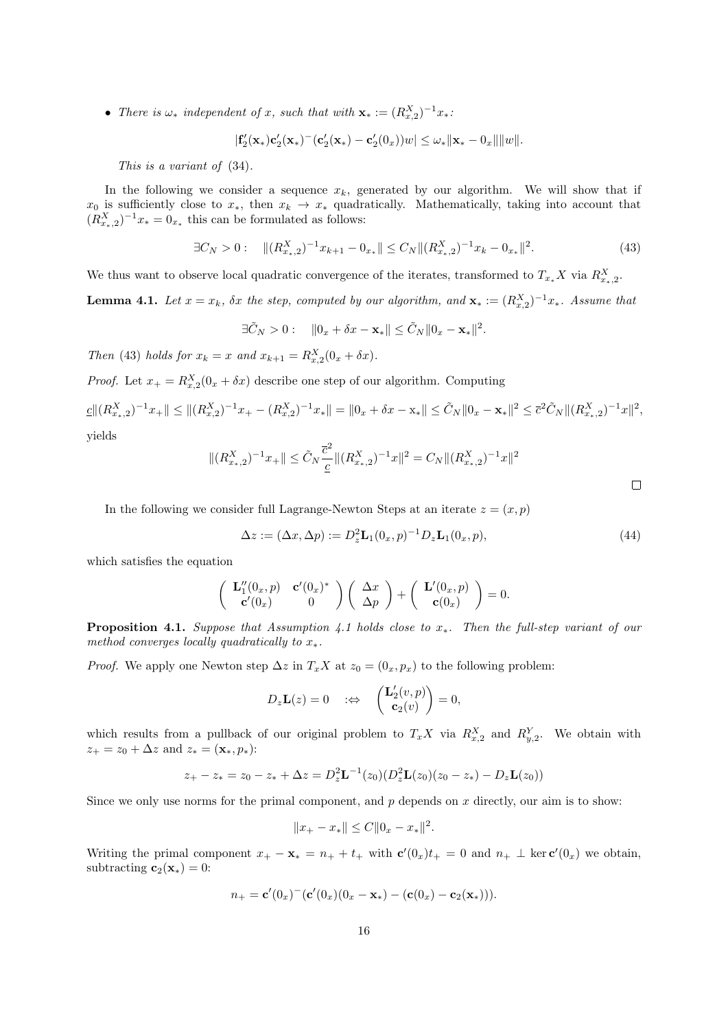• There is  $\omega_*$  independent of x, such that with  $\mathbf{x}_* := (R_{x,2}^X)^{-1} x_*$ .

$$
|\mathbf{f}_2'(\mathbf{x}_*)\mathbf{c}_2'(\mathbf{x}_*)^-(\mathbf{c}_2'(\mathbf{x}_*)-\mathbf{c}_2'(0_x))w|\leq \omega_*||\mathbf{x}_*-\mathbf{0}_x||||w||.
$$

This is a variant of (34).

In the following we consider a sequence  $x_k$ , generated by our algorithm. We will show that if  $x_0$  is sufficiently close to  $x_*$ , then  $x_k \to x_*$  quadratically. Mathematically, taking into account that  $(R_{x_*,2}^X)^{-1}x_* = 0_{x_*}$  this can be formulated as follows:

$$
\exists C_N > 0: \quad \|(R_{x_{\ast},2}^X)^{-1}x_{k+1} - 0_{x_{\ast}}\| \le C_N \|(R_{x_{\ast},2}^X)^{-1}x_k - 0_{x_{\ast}}\|^2. \tag{43}
$$

We thus want to observe local quadratic convergence of the iterates, transformed to  $T_{x_*} X$  via  $R_{x_*,2}^X$ .

**Lemma 4.1.** Let  $x = x_k$ ,  $\delta x$  the step, computed by our algorithm, and  $\mathbf{x}_* := (R_{x,2}^X)^{-1} x_*$ . Assume that

$$
\exists \tilde{C}_N > 0: \quad \Vert 0_x + \delta x - \mathbf{x}_* \Vert \leq \tilde{C}_N \Vert 0_x - \mathbf{x}_* \Vert^2.
$$

Then (43) holds for  $x_k = x$  and  $x_{k+1} = R_{x,2}^X(0_x + \delta x)$ .

*Proof.* Let  $x_+ = R_{x,2}^X(0_x + \delta x)$  describe one step of our algorithm. Computing

$$
\underline{c} \|(R_{x_*,2}^X)^{-1} x_+\| \le \|(R_{x,2}^X)^{-1} x_+ - (R_{x,2}^X)^{-1} x_*\| = \|0_x + \delta x - x_*\| \le \tilde{C}_N \|0_x - x_*\|^2 \le \overline{c}^2 \tilde{C}_N \|(R_{x_*,2}^X)^{-1} x\|^2,
$$
 yields

yields

$$
||(R_{x_*,2}^X)^{-1}x_+|| \leq \tilde{C}_N \frac{\overline{c}^2}{\underline{c}} ||(R_{x_*,2}^X)^{-1}x||^2 = C_N ||(R_{x_*,2}^X)^{-1}x||^2
$$

In the following we consider full Lagrange-Newton Steps at an iterate  $z = (x, p)$ 

$$
\Delta z := (\Delta x, \Delta p) := D_z^2 \mathbf{L}_1(0_x, p)^{-1} D_z \mathbf{L}_1(0_x, p), \tag{44}
$$

which satisfies the equation

$$
\begin{pmatrix} \mathbf{L}_1''(0_x,p) & \mathbf{c}'(0_x)^* \\ \mathbf{c}'(0_x) & 0 \end{pmatrix} \begin{pmatrix} \Delta x \\ \Delta p \end{pmatrix} + \begin{pmatrix} \mathbf{L}'(0_x,p) \\ \mathbf{c}(0_x) \end{pmatrix} = 0.
$$

**Proposition 4.1.** Suppose that Assumption 4.1 holds close to  $x_*$ . Then the full-step variant of our method converges locally quadratically to  $x_*$ .

*Proof.* We apply one Newton step  $\Delta z$  in  $T_xX$  at  $z_0 = (0_x, p_x)$  to the following problem:

$$
D_z \mathbf{L}(z) = 0 \quad \Rightarrow \quad \begin{pmatrix} \mathbf{L}'_2(v,p) \\ \mathbf{c}_2(v) \end{pmatrix} = 0,
$$

which results from a pullback of our original problem to  $T_x X$  via  $R_{x,2}^X$  and  $R_{y,2}^Y$ . We obtain with  $z_+ = z_0 + \Delta z$  and  $z_* = (\mathbf{x}_*, p_*)$ :

$$
z_{+} - z_{*} = z_{0} - z_{*} + \Delta z = D_{z}^{2} \mathbf{L}^{-1}(z_{0}) \left( D_{z}^{2} \mathbf{L}(z_{0})(z_{0} - z_{*}) - D_{z} \mathbf{L}(z_{0}) \right)
$$

Since we only use norms for the primal component, and  $p$  depends on  $x$  directly, our aim is to show:

$$
||x_{+} - x_{*}|| \leq C ||0_{x} - x_{*}||^{2}.
$$

Writing the primal component  $x_+ - \mathbf{x}_* = n_+ + t_+$  with  $\mathbf{c}'(0_x)t_+ = 0$  and  $n_+ \perp \ker \mathbf{c}'(0_x)$  we obtain, subtracting  $\mathbf{c}_2(\mathbf{x}_*) = 0$ :

$$
n_{+} = \mathbf{c}'(0_{x})^{-}(\mathbf{c}'(0_{x})(0_{x}-\mathbf{x}_{*}) - (\mathbf{c}(0_{x})-\mathbf{c}_{2}(\mathbf{x}_{*}))).
$$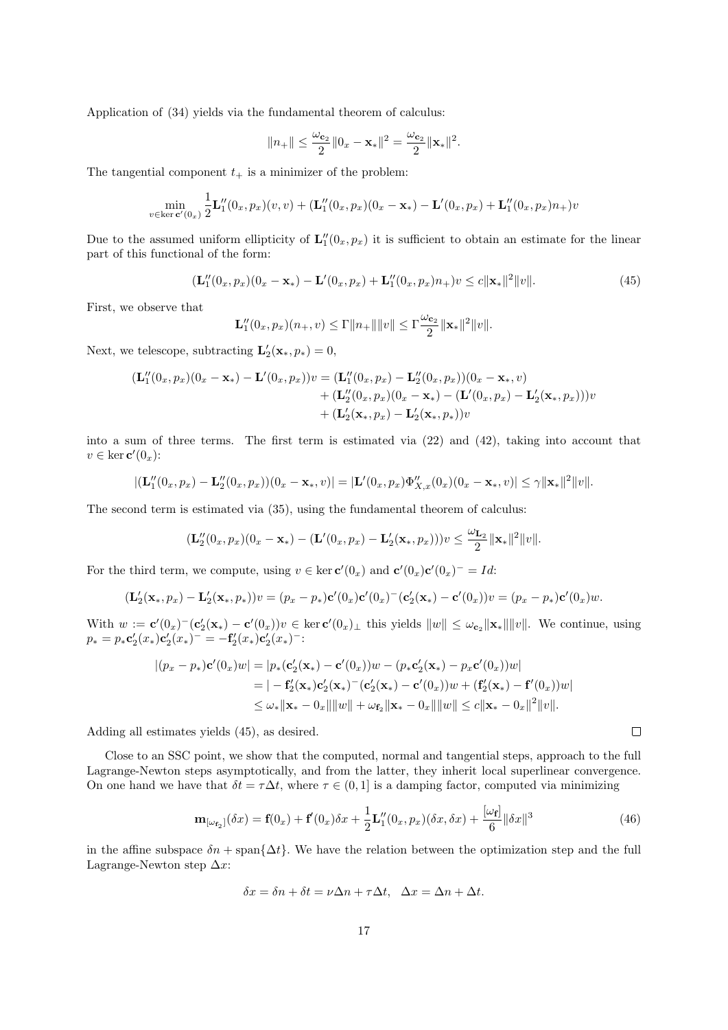Application of (34) yields via the fundamental theorem of calculus:

$$
||n_+|| \leq \frac{\omega_{\mathbf{c}_2}}{2} ||0_x - \mathbf{x}_*||^2 = \frac{\omega_{\mathbf{c}_2}}{2} ||\mathbf{x}_*||^2.
$$

The tangential component  $t_{+}$  is a minimizer of the problem:

$$
\min_{v \in \ker \mathbf{c}'(0_x)} \frac{1}{2} \mathbf{L}'_1(0_x, p_x)(v, v) + (\mathbf{L}''_1(0_x, p_x)(0_x - \mathbf{x}_*) - \mathbf{L}'(0_x, p_x) + \mathbf{L}''_1(0_x, p_x)n_+)v
$$

Due to the assumed uniform ellipticity of  $\mathbf{L}_1''(0_x, p_x)$  it is sufficient to obtain an estimate for the linear part of this functional of the form:

$$
(\mathbf{L}_1''(0_x, p_x)(0_x - \mathbf{x}_*) - \mathbf{L}'(0_x, p_x) + \mathbf{L}_1''(0_x, p_x)n_+)v \le c \|\mathbf{x}_*\|^2 \|v\|.
$$
 (45)

First, we observe that

$$
\mathbf{L}_1''(0_x, p_x)(n_+, v) \le \Gamma ||n_+|| ||v|| \le \Gamma \frac{\omega_{\mathbf{c}_2}}{2} ||\mathbf{x}_*||^2 ||v||.
$$

Next, we telescope, subtracting  $\mathbf{L}'_2(\mathbf{x}_*,p_*)=0$ ,

$$
\begin{aligned} (\mathbf{L}_1''(0_x, p_x)(0_x - \mathbf{x}_*) - \mathbf{L}'(0_x, p_x))v &= (\mathbf{L}_1''(0_x, p_x) - \mathbf{L}_2''(0_x, p_x))(0_x - \mathbf{x}_*, v) \\ &+ (\mathbf{L}_2''(0_x, p_x)(0_x - \mathbf{x}_*) - (\mathbf{L}'(0_x, p_x) - \mathbf{L}_2'(\mathbf{x}_*, p_x)))v \\ &+ (\mathbf{L}_2'(\mathbf{x}_*, p_x) - \mathbf{L}_2'(\mathbf{x}_*, p_*))v \end{aligned}
$$

into a sum of three terms. The first term is estimated via (22) and (42), taking into account that  $v \in \ker \mathbf{c}'(0_x)$ :

$$
|(\mathbf{L}_1''(0_x, p_x) - \mathbf{L}_2''(0_x, p_x))(0_x - \mathbf{x}_*, v)| = |\mathbf{L}'(0_x, p_x)\Phi_{X,x}''(0_x)(0_x - \mathbf{x}_*, v)| \leq \gamma \|\mathbf{x}_*\|^2 \|v\|.
$$

The second term is estimated via (35), using the fundamental theorem of calculus:

$$
(\mathbf{L}_2''(0_x,p_x)(0_x-\mathbf{x}_*)-(\mathbf{L}'(0_x,p_x)-\mathbf{L}_2'(\mathbf{x}_*,p_x)))v\leq \frac{\omega_{\mathbf{L}_2}}{2}\|\mathbf{x}_*\|^2\|v\|.
$$

For the third term, we compute, using  $v \in \ker c'(0_x)$  and  $c'(0_x)c'(0_x)^{-1} = Id$ :

$$
(\mathbf{L}'_2(\mathbf{x}_*,p_x)-\mathbf{L}'_2(\mathbf{x}_*,p_*))v=(p_x-p_*)\mathbf{c}'(0_x)\mathbf{c}'(0_x)^{-1}(\mathbf{c}'_2(\mathbf{x}_*)-\mathbf{c}'(0_x))v=(p_x-p_*)\mathbf{c}'(0_x)w.
$$

With  $w := \mathbf{c}'(0_x)^{-1}(\mathbf{c}'_2(\mathbf{x}_*) - \mathbf{c}'(0_x))v \in \ker \mathbf{c}'(0_x)_{\perp}$  this yields  $||w|| \leq \omega_{\mathbf{c}_2} ||\mathbf{x}_*|| ||v||$ . We continue, using  $p_* = p_* \mathbf{c}'_2(x_*) \mathbf{c}'_2(x_*)^- = -\mathbf{f}'_2(x_*) \mathbf{c}'_2(x_*)^-$ 

$$
\begin{aligned} |(p_x - p_*)\mathbf{c}'(0_x)w| &= |p_* (\mathbf{c}'_2(\mathbf{x}_*) - \mathbf{c}'(0_x))w - (p_*\mathbf{c}'_2(\mathbf{x}_*) - p_x\mathbf{c}'(0_x))w| \\ &= |-\mathbf{f}'_2(\mathbf{x}_*)\mathbf{c}'_2(\mathbf{x}_*) - (\mathbf{c}'_2(\mathbf{x}_*) - \mathbf{c}'(0_x))w + (\mathbf{f}'_2(\mathbf{x}_*) - \mathbf{f}'(0_x))w| \\ &\leq \omega_* ||\mathbf{x}_* - 0_x|| ||w|| + \omega_{\mathbf{f}_2} ||\mathbf{x}_* - 0_x|| ||w|| \leq c ||\mathbf{x}_* - 0_x||^2 ||v||. \end{aligned}
$$

Adding all estimates yields (45), as desired.

Close to an SSC point, we show that the computed, normal and tangential steps, approach to the full Lagrange-Newton steps asymptotically, and from the latter, they inherit local superlinear convergence. On one hand we have that  $\delta t = \tau \Delta t$ , where  $\tau \in (0, 1]$  is a damping factor, computed via minimizing

$$
\mathbf{m}_{\left[\omega_{\mathbf{f}_2}\right]}(\delta x) = \mathbf{f}(0_x) + \mathbf{f}'(0_x)\delta x + \frac{1}{2}\mathbf{L}_1''(0_x, p_x)(\delta x, \delta x) + \frac{\left[\omega_{\mathbf{f}}\right]}{6}\|\delta x\|^3 \tag{46}
$$

in the affine subspace  $\delta n$  + span $\{\Delta t\}$ . We have the relation between the optimization step and the full Lagrange-Newton step  $\Delta x$ :

$$
\delta x = \delta n + \delta t = \nu \Delta n + \tau \Delta t, \quad \Delta x = \Delta n + \Delta t.
$$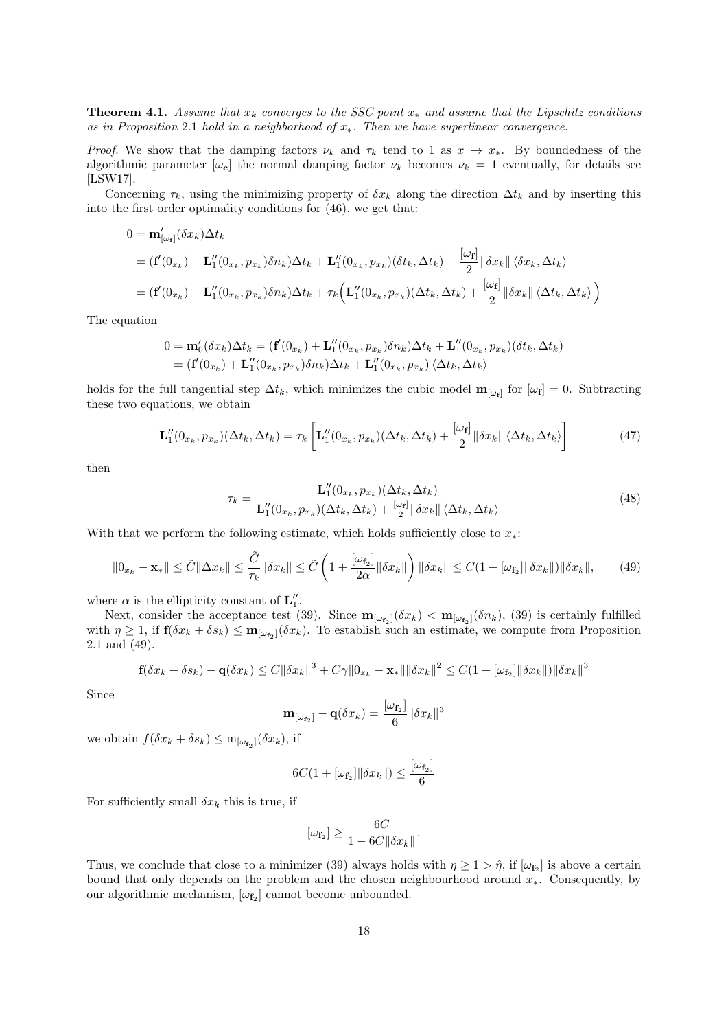**Theorem 4.1.** Assume that  $x_k$  converges to the SSC point  $x_*$  and assume that the Lipschitz conditions as in Proposition 2.1 hold in a neighborhood of  $x<sub>*</sub>$ . Then we have superlinear convergence.

Proof. We show that the damping factors  $\nu_k$  and  $\tau_k$  tend to 1 as  $x \to x_*$ . By boundedness of the algorithmic parameter  $[\omega_{c}]$  the normal damping factor  $\nu_{k}$  becomes  $\nu_{k} = 1$  eventually, for details see [LSW17].

Concerning  $\tau_k$ , using the minimizing property of  $\delta x_k$  along the direction  $\Delta t_k$  and by inserting this into the first order optimality conditions for (46), we get that:

$$
0 = \mathbf{m}'_{[\omega_f]}(\delta x_k) \Delta t_k
$$
  
=  $(\mathbf{f}'(0_{x_k}) + \mathbf{L}_1''(0_{x_k}, p_{x_k}) \delta n_k) \Delta t_k + \mathbf{L}_1''(0_{x_k}, p_{x_k}) (\delta t_k, \Delta t_k) + \frac{[\omega_f]}{2} ||\delta x_k|| \langle \delta x_k, \Delta t_k \rangle$   
=  $(\mathbf{f}'(0_{x_k}) + \mathbf{L}_1''(0_{x_k}, p_{x_k}) \delta n_k) \Delta t_k + \tau_k (\mathbf{L}_1''(0_{x_k}, p_{x_k}) (\Delta t_k, \Delta t_k) + \frac{[\omega_f]}{2} ||\delta x_k|| \langle \Delta t_k, \Delta t_k \rangle )$ 

The equation

$$
0 = \mathbf{m}'_0(\delta x_k) \Delta t_k = (\mathbf{f}'(0_{x_k}) + \mathbf{L}_1''(0_{x_k}, p_{x_k}) \delta n_k) \Delta t_k + \mathbf{L}_1''(0_{x_k}, p_{x_k}) (\delta t_k, \Delta t_k)
$$
  
= (\mathbf{f}'(0\_{x\_k}) + \mathbf{L}\_1''(0\_{x\_k}, p\_{x\_k}) \delta n\_k) \Delta t\_k + \mathbf{L}\_1''(0\_{x\_k}, p\_{x\_k}) \langle \Delta t\_k, \Delta t\_k \rangle

holds for the full tangential step  $\Delta t_k$ , which minimizes the cubic model  $\mathbf{m}_{[\omega_f]}$  for  $[\omega_f] = 0$ . Subtracting these two equations, we obtain

$$
\mathbf{L}_{1}^{"}(0_{x_{k}}, p_{x_{k}})(\Delta t_{k}, \Delta t_{k}) = \tau_{k} \left[ \mathbf{L}_{1}^{"}(0_{x_{k}}, p_{x_{k}})(\Delta t_{k}, \Delta t_{k}) + \frac{[\omega_{\mathbf{f}}]}{2} ||\delta x_{k}|| \langle \Delta t_{k}, \Delta t_{k} \rangle \right]
$$
(47)

then

$$
\tau_k = \frac{\mathbf{L}_1''(0_{x_k}, p_{x_k})(\Delta t_k, \Delta t_k)}{\mathbf{L}_1''(0_{x_k}, p_{x_k})(\Delta t_k, \Delta t_k) + \frac{[\omega_t]}{2} \|\delta x_k\| \langle \Delta t_k, \Delta t_k \rangle}
$$
(48)

With that we perform the following estimate, which holds sufficiently close to  $x_*$ :

$$
\|0_{x_k} - \mathbf{x}_*\| \le \tilde{C} \|\Delta x_k\| \le \frac{\tilde{C}}{\tau_k} \|\delta x_k\| \le \tilde{C} \left(1 + \frac{[\omega_{\mathbf{f}_2}]}{2\alpha} \|\delta x_k\|\right) \|\delta x_k\| \le C(1 + [\omega_{\mathbf{f}_2}]\|\delta x_k\|) \|\delta x_k\|,
$$
(49)

where  $\alpha$  is the ellipticity constant of  $\mathbf{L}''_1$ .

Next, consider the acceptance test (39). Since  $\mathbf{m}_{[\omega_{\mathbf{f}_2}]}(\delta x_k) < \mathbf{m}_{[\omega_{\mathbf{f}_2}]}(\delta n_k)$ , (39) is certainly fulfilled with  $\eta \geq 1$ , if  $f(\delta x_k + \delta s_k) \leq m_{[\omega_{\mathbf{f}_2}]}(\delta x_k)$ . To establish such an estimate, we compute from Proposition 2.1 and (49).

$$
\mathbf{f}(\delta x_k + \delta s_k) - \mathbf{q}(\delta x_k) \le C \|\delta x_k\|^3 + C\gamma \|0_{x_k} - \mathbf{x}_*\| \|\delta x_k\|^2 \le C(1 + [\omega_{\mathbf{f}_2}]\|\delta x_k\|) \|\delta x_k\|^3
$$

Since

$$
\mathbf{m}_{[\omega_{\mathbf{f}_2}]} - \mathbf{q}(\delta x_k) = \frac{[\omega_{\mathbf{f}_2}]}{6} ||\delta x_k||^3
$$

we obtain  $f(\delta x_k + \delta s_k) \leq m_{[\omega_{\mathbf{f}_2}]}(\delta x_k)$ , if

$$
6C(1 + [\omega_{\mathbf{f}_2}] || \delta x_k ||) \le \frac{[\omega_{\mathbf{f}_2}]}{6}
$$

For sufficiently small  $\delta x_k$  this is true, if

$$
[\omega_{\mathbf{f}_2}] \ge \frac{6C}{1 - 6C ||\delta x_k||}.
$$

Thus, we conclude that close to a minimizer (39) always holds with  $\eta \ge 1 > \hat{\eta}$ , if  $[\omega_{\mathbf{f}_2}]$  is above a certain bound that only depends on the problem and the chosen neighbourhood around  $x<sub>*</sub>$ . Consequently, by our algorithmic mechanism,  $[\omega_{f_2}]$  cannot become unbounded.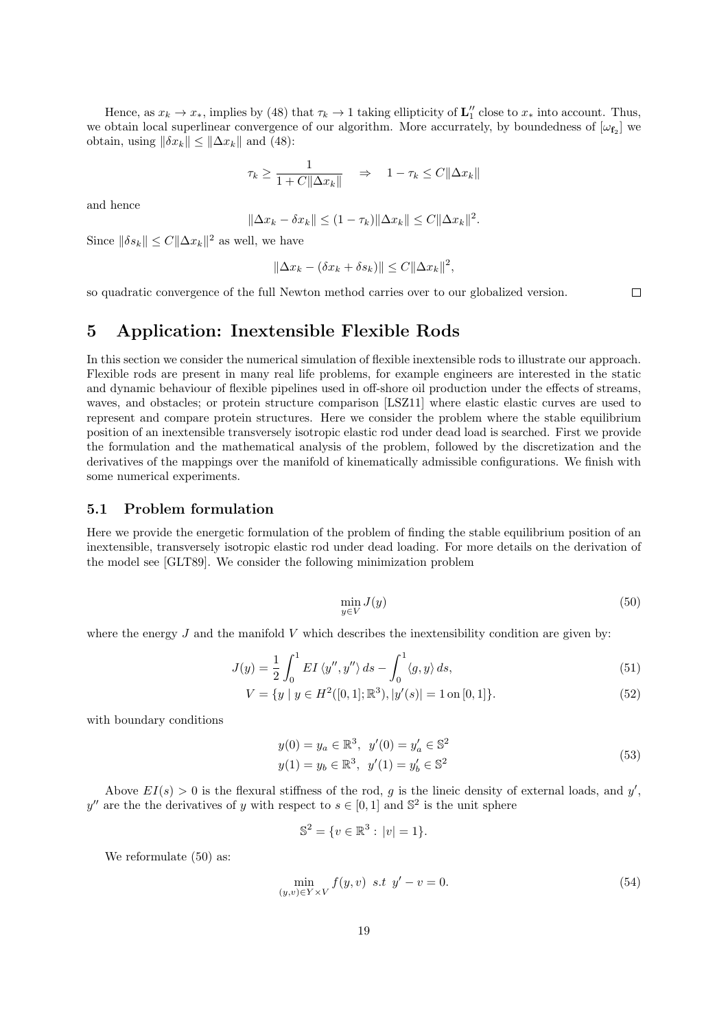Hence, as  $x_k \to x_*$ , implies by (48) that  $\tau_k \to 1$  taking ellipticity of  $\mathbf{L}''_1$  close to  $x_*$  into account. Thus, we obtain local superlinear convergence of our algorithm. More accurrately, by boundedness of  $[\omega_{f_2}]$  we obtain, using  $\|\delta x_k\| \leq \|\Delta x_k\|$  and (48):

$$
\tau_k \ge \frac{1}{1 + C\|\Delta x_k\|} \quad \Rightarrow \quad 1 - \tau_k \le C\|\Delta x_k\|
$$

and hence

$$
\|\Delta x_k - \delta x_k\| \le (1 - \tau_k) \|\Delta x_k\| \le C \|\Delta x_k\|^2.
$$

Since  $\|\delta s_k\| \leq C \|\Delta x_k\|^2$  as well, we have

$$
\|\Delta x_k - (\delta x_k + \delta s_k)\| \le C \|\Delta x_k\|^2,
$$

so quadratic convergence of the full Newton method carries over to our globalized version.

## 5 Application: Inextensible Flexible Rods

In this section we consider the numerical simulation of flexible inextensible rods to illustrate our approach. Flexible rods are present in many real life problems, for example engineers are interested in the static and dynamic behaviour of flexible pipelines used in off-shore oil production under the effects of streams, waves, and obstacles; or protein structure comparison [LSZ11] where elastic elastic curves are used to represent and compare protein structures. Here we consider the problem where the stable equilibrium position of an inextensible transversely isotropic elastic rod under dead load is searched. First we provide the formulation and the mathematical analysis of the problem, followed by the discretization and the derivatives of the mappings over the manifold of kinematically admissible configurations. We finish with some numerical experiments.

### 5.1 Problem formulation

Here we provide the energetic formulation of the problem of finding the stable equilibrium position of an inextensible, transversely isotropic elastic rod under dead loading. For more details on the derivation of the model see [GLT89]. We consider the following minimization problem

$$
\min_{y \in V} J(y) \tag{50}
$$

where the energy  $J$  and the manifold  $V$  which describes the inextensibility condition are given by:

$$
J(y) = \frac{1}{2} \int_0^1 EI \langle y'', y'' \rangle ds - \int_0^1 \langle g, y \rangle ds,
$$
\n(51)

$$
V = \{ y \mid y \in H^2([0,1];\mathbb{R}^3), |y'(s)| = 1 \text{ on } [0,1] \}. \tag{52}
$$

with boundary conditions

$$
y(0) = y_a \in \mathbb{R}^3, \ y'(0) = y'_a \in \mathbb{S}^2
$$
  

$$
y(1) = y_b \in \mathbb{R}^3, \ y'(1) = y'_b \in \mathbb{S}^2
$$
 (53)

Above  $EI(s) > 0$  is the flexural stiffness of the rod, g is the lineic density of external loads, and y', y'' are the the derivatives of y with respect to  $s \in [0,1]$  and  $\mathbb{S}^2$  is the unit sphere

$$
\mathbb{S}^2 = \{ v \in \mathbb{R}^3 : |v| = 1 \}.
$$

We reformulate  $(50)$  as:

$$
\min_{(y,v)\in Y\times V} f(y,v) \ \ s.t \ \ y'-v=0. \tag{54}
$$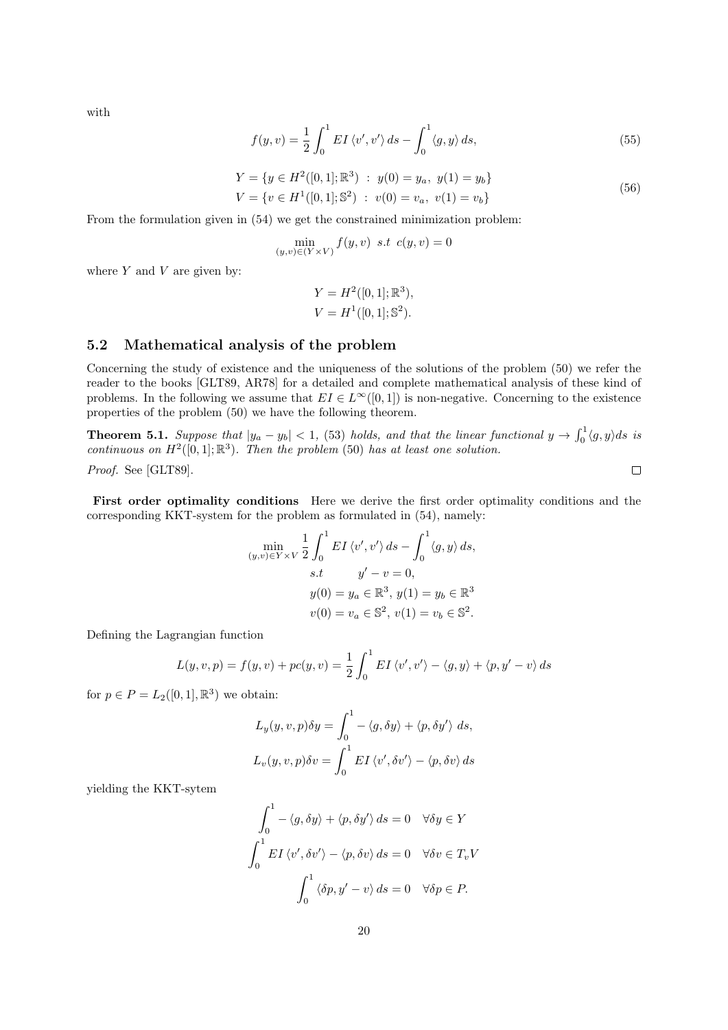with

$$
f(y,v) = \frac{1}{2} \int_0^1 EI \langle v', v' \rangle ds - \int_0^1 \langle g, y \rangle ds, \tag{55}
$$

$$
Y = \{ y \in H^2([0, 1]; \mathbb{R}^3) : y(0) = y_a, y(1) = y_b \}
$$
  

$$
V = \{ v \in H^1([0, 1]; \mathbb{S}^2) : v(0) = v_a, v(1) = v_b \}
$$
 (56)

From the formulation given in (54) we get the constrained minimization problem:

$$
\min_{(y,v)\in(Y\times V)} f(y,v) \text{ s.t } c(y,v) = 0
$$

where  $Y$  and  $V$  are given by:

$$
Y = H^{2}([0, 1]; \mathbb{R}^{3}),
$$
  

$$
V = H^{1}([0, 1]; \mathbb{S}^{2}).
$$

### 5.2 Mathematical analysis of the problem

Concerning the study of existence and the uniqueness of the solutions of the problem (50) we refer the reader to the books [GLT89, AR78] for a detailed and complete mathematical analysis of these kind of problems. In the following we assume that  $EI \in L^{\infty}([0,1])$  is non-negative. Concerning to the existence properties of the problem (50) we have the following theorem.

**Theorem 5.1.** Suppose that  $|y_a - y_b| < 1$ , (53) holds, and that the linear functional  $y \to \int_0^1 \langle g, y \rangle ds$  is continuous on  $H^2([0,1];\mathbb{R}^3)$ . Then the problem (50) has at least one solution.

Proof. See [GLT89].

First order optimality conditions Here we derive the first order optimality conditions and the corresponding KKT-system for the problem as formulated in (54), namely:

$$
\min_{(y,v)\in Y\times V} \frac{1}{2} \int_0^1 EI \langle v', v' \rangle ds - \int_0^1 \langle g, y \rangle ds,
$$
  
s.t  $y'-v=0$ ,  

$$
y(0) = y_a \in \mathbb{R}^3, y(1) = y_b \in \mathbb{R}^3
$$

$$
v(0) = v_a \in \mathbb{S}^2, v(1) = v_b \in \mathbb{S}^2.
$$

Defining the Lagrangian function

$$
L(y, v, p) = f(y, v) + pc(y, v) = \frac{1}{2} \int_0^1 EI \langle v', v' \rangle - \langle g, y \rangle + \langle p, y' - v \rangle ds
$$

for  $p \in P = L_2([0,1], \mathbb{R}^3)$  we obtain:

$$
L_y(y, v, p)\delta y = \int_0^1 - \langle g, \delta y \rangle + \langle p, \delta y' \rangle ds,
$$
  

$$
L_v(y, v, p)\delta v = \int_0^1 EI \langle v', \delta v' \rangle - \langle p, \delta v \rangle ds
$$

yielding the KKT-sytem

$$
\int_0^1 -\langle g, \delta y \rangle + \langle p, \delta y' \rangle ds = 0 \quad \forall \delta y \in Y
$$

$$
\int_0^1 EI \langle v', \delta v' \rangle - \langle p, \delta v \rangle ds = 0 \quad \forall \delta v \in T_v V
$$

$$
\int_0^1 \langle \delta p, y' - v \rangle ds = 0 \quad \forall \delta p \in P.
$$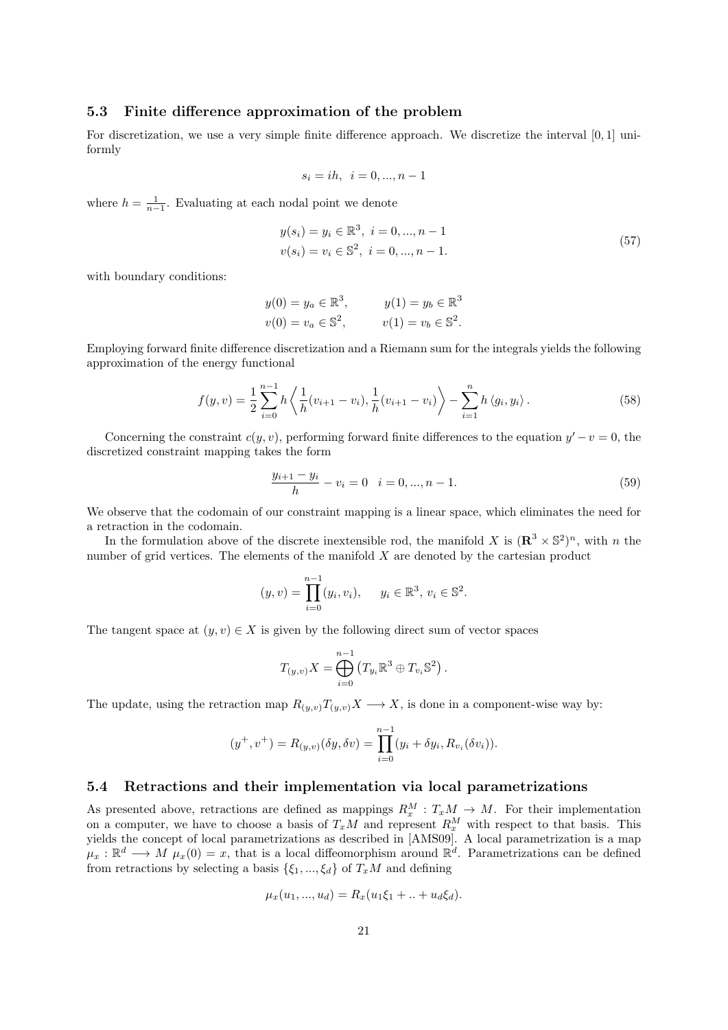### 5.3 Finite difference approximation of the problem

For discretization, we use a very simple finite difference approach. We discretize the interval [0, 1] uniformly

$$
s_i = ih, \ \ i = 0, ..., n-1
$$

where  $h = \frac{1}{n-1}$ . Evaluating at each nodal point we denote

$$
y(s_i) = y_i \in \mathbb{R}^3, \ i = 0, ..., n - 1
$$
  

$$
v(s_i) = v_i \in \mathbb{S}^2, \ i = 0, ..., n - 1.
$$
 (57)

with boundary conditions:

$$
y(0) = y_a \in \mathbb{R}^3
$$
,  $y(1) = y_b \in \mathbb{R}^3$   
\n $v(0) = v_a \in \mathbb{S}^2$ ,  $v(1) = v_b \in \mathbb{S}^2$ .

Employing forward finite difference discretization and a Riemann sum for the integrals yields the following approximation of the energy functional

$$
f(y,v) = \frac{1}{2} \sum_{i=0}^{n-1} h \left\langle \frac{1}{h} (v_{i+1} - v_i), \frac{1}{h} (v_{i+1} - v_i) \right\rangle - \sum_{i=1}^{n} h \left\langle g_i, y_i \right\rangle.
$$
 (58)

Concerning the constraint  $c(y, v)$ , performing forward finite differences to the equation  $y' - v = 0$ , the discretized constraint mapping takes the form

$$
\frac{y_{i+1} - y_i}{h} - v_i = 0 \quad i = 0, ..., n - 1.
$$
\n(59)

We observe that the codomain of our constraint mapping is a linear space, which eliminates the need for a retraction in the codomain.

In the formulation above of the discrete inextensible rod, the manifold X is  $(\mathbb{R}^3 \times \mathbb{S}^2)^n$ , with n the number of grid vertices. The elements of the manifold  $X$  are denoted by the cartesian product

$$
(y, v) = \prod_{i=0}^{n-1} (y_i, v_i), \quad y_i \in \mathbb{R}^3, v_i \in \mathbb{S}^2.
$$

The tangent space at  $(y, v) \in X$  is given by the following direct sum of vector spaces

$$
T_{(y,v)}X = \bigoplus_{i=0}^{n-1} \left( T_{y_i} \mathbb{R}^3 \oplus T_{v_i} \mathbb{S}^2 \right).
$$

The update, using the retraction map  $R_{(y,v)}T_{(y,v)}X \longrightarrow X$ , is done in a component-wise way by:

$$
(y^+, v^+) = R_{(y,v)}(\delta y, \delta v) = \prod_{i=0}^{n-1} (y_i + \delta y_i, R_{v_i}(\delta v_i)).
$$

### 5.4 Retractions and their implementation via local parametrizations

As presented above, retractions are defined as mappings  $R_x^M : T_xM \to M$ . For their implementation on a computer, we have to choose a basis of  $T_xM$  and represent  $R_x^M$  with respect to that basis. This yields the concept of local parametrizations as described in [AMS09]. A local parametrization is a map  $\mu_x : \mathbb{R}^d \longrightarrow M$   $\mu_x(0) = x$ , that is a local diffeomorphism around  $\mathbb{R}^d$ . Parametrizations can be defined from retractions by selecting a basis  $\{\xi_1, ..., \xi_d\}$  of  $T_xM$  and defining

$$
\mu_x(u_1, ..., u_d) = R_x(u_1\xi_1 + ... + u_d\xi_d).
$$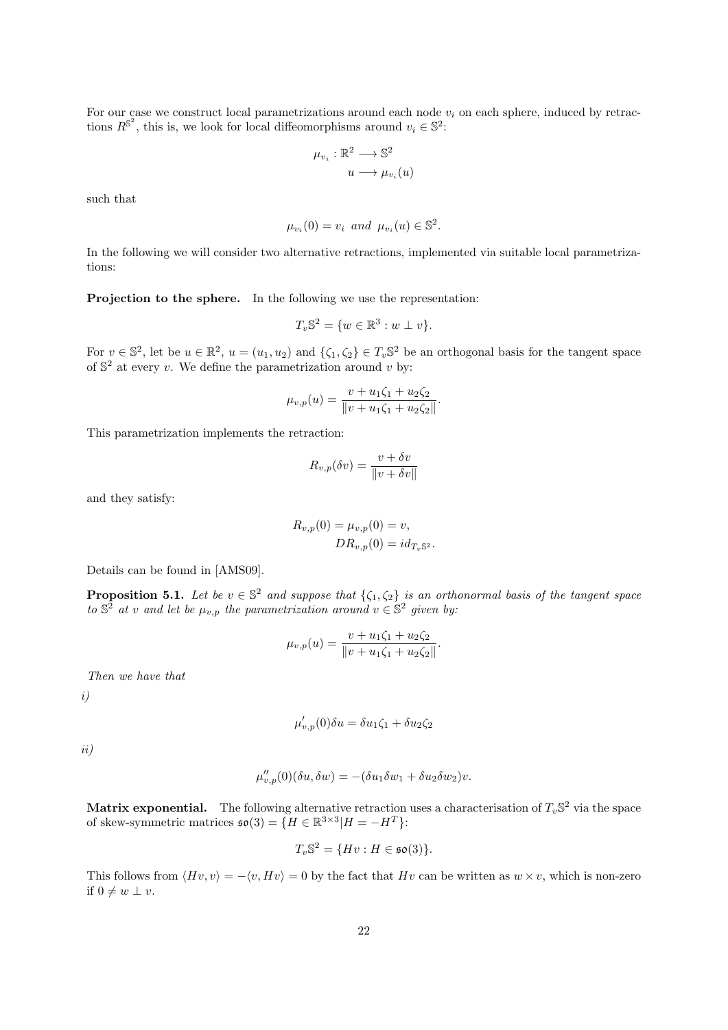For our case we construct local parametrizations around each node  $v_i$  on each sphere, induced by retractions  $R^{\mathbb{S}^2}$ , this is, we look for local diffeomorphisms around  $v_i \in \mathbb{S}^2$ :

$$
\mu_{v_i} : \mathbb{R}^2 \longrightarrow \mathbb{S}^2
$$

$$
u \longrightarrow \mu_{v_i}(u)
$$

such that

$$
\mu_{v_i}(0) = v_i \quad \text{and} \quad \mu_{v_i}(u) \in \mathbb{S}^2.
$$

In the following we will consider two alternative retractions, implemented via suitable local parametrizations:

Projection to the sphere. In the following we use the representation:

$$
T_v\mathbb{S}^2 = \{w \in \mathbb{R}^3 : w \perp v\}.
$$

For  $v \in \mathbb{S}^2$ , let be  $u \in \mathbb{R}^2$ ,  $u = (u_1, u_2)$  and  $\{\zeta_1, \zeta_2\} \in T_v\mathbb{S}^2$  be an orthogonal basis for the tangent space of  $\mathbb{S}^2$  at every v. We define the parametrization around v by:

$$
\mu_{v,p}(u) = \frac{v + u_1\zeta_1 + u_2\zeta_2}{\|v + u_1\zeta_1 + u_2\zeta_2\|}.
$$

This parametrization implements the retraction:

$$
R_{v,p}(\delta v) = \frac{v + \delta v}{\|v + \delta v\|}
$$

and they satisfy:

$$
R_{v,p}(0) = \mu_{v,p}(0) = v,
$$
  

$$
DR_{v,p}(0) = id_{T_v \mathbb{S}^2}.
$$

Details can be found in [AMS09].

**Proposition 5.1.** Let be  $v \in \mathbb{S}^2$  and suppose that  $\{\zeta_1, \zeta_2\}$  is an orthonormal basis of the tangent space to  $\mathbb{S}^2$  at v and let be  $\mu_{v,p}$  the parametrization around  $v \in \mathbb{S}^2$  given by:

$$
\mu_{v,p}(u) = \frac{v + u_1\zeta_1 + u_2\zeta_2}{\|v + u_1\zeta_1 + u_2\zeta_2\|}.
$$

Then we have that

i)

$$
\mu'_{v,p}(0)\delta u = \delta u_1 \zeta_1 + \delta u_2 \zeta_2
$$

ii)

$$
\mu_{v,p}''(0)(\delta u, \delta w) = -(\delta u_1 \delta w_1 + \delta u_2 \delta w_2)v.
$$

**Matrix exponential.** The following alternative retraction uses a characterisation of  $T_v$   $\mathbb{S}^2$  via the space of skew-symmetric matrices  $\mathfrak{so}(3) = \{ H \in \mathbb{R}^{3 \times 3} | H = -H^T \}$ :

$$
T_v\mathbb{S}^2 = \{Hv : H \in \mathfrak{so}(3)\}.
$$

This follows from  $\langle Hv, v \rangle = -\langle v, Hv \rangle = 0$  by the fact that Hv can be written as  $w \times v$ , which is non-zero if  $0 \neq w \perp v$ .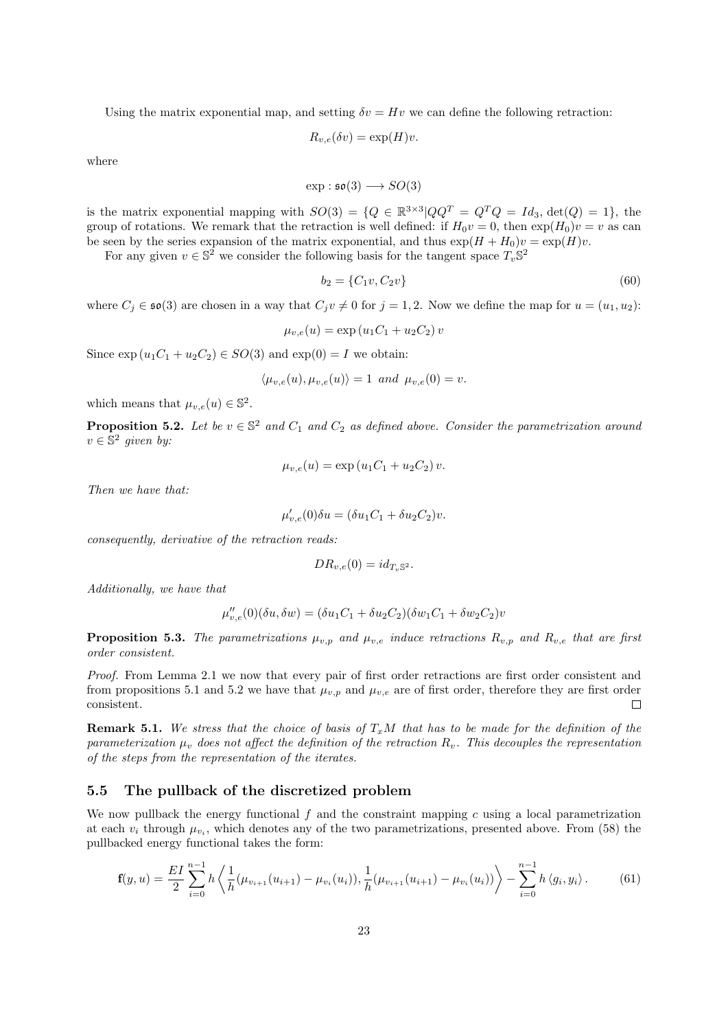Using the matrix exponential map, and setting  $\delta v = Hv$  we can define the following retraction:

$$
R_{v,e}(\delta v) = \exp(H)v.
$$

where

$$
\exp: \mathfrak{so}(3) \longrightarrow SO(3)
$$

is the matrix exponential mapping with  $SO(3) = \{Q \in \mathbb{R}^{3 \times 3} | QQ^T = Q^TQ = Id_3, \det(Q) = 1\},\$ group of rotations. We remark that the retraction is well defined: if  $H_0v = 0$ , then  $\exp(H_0)v = v$  as can be seen by the series expansion of the matrix exponential, and thus  $\exp(H + H_0)v = \exp(H)v$ .

For any given  $v \in \mathbb{S}^2$  we consider the following basis for the tangent space  $T_v \mathbb{S}^2$ 

$$
b_2 = \{C_1v, C_2v\} \tag{60}
$$

where  $C_i \in \mathfrak{so}(3)$  are chosen in a way that  $C_i v \neq 0$  for  $j = 1, 2$ . Now we define the map for  $u = (u_1, u_2)$ :

$$
\mu_{v,e}(u) = \exp(u_1 C_1 + u_2 C_2) v
$$

Since  $\exp(u_1C_1 + u_2C_2) \in SO(3)$  and  $\exp(0) = I$  we obtain:

$$
\langle \mu_{v,e}(u), \mu_{v,e}(u) \rangle = 1 \text{ and } \mu_{v,e}(0) = v.
$$

which means that  $\mu_{v,e}(u) \in \mathbb{S}^2$ .

**Proposition 5.2.** Let be  $v \in \mathbb{S}^2$  and  $C_1$  and  $C_2$  as defined above. Consider the parametrization around  $v \in \mathbb{S}^2$  given by:

$$
\mu_{v,e}(u) = \exp(u_1 C_1 + u_2 C_2) v.
$$

Then we have that:

$$
\mu'_{v,e}(0)\delta u = (\delta u_1 C_1 + \delta u_2 C_2)v.
$$

consequently, derivative of the retraction reads:

$$
DR_{v,e}(0) = id_{T_v \mathbb{S}^2}.
$$

Additionally, we have that

$$
\mu''_{v,e}(0)(\delta u, \delta w) = (\delta u_1 C_1 + \delta u_2 C_2)(\delta w_1 C_1 + \delta w_2 C_2)v
$$

**Proposition 5.3.** The parametrizations  $\mu_{v,p}$  and  $\mu_{v,e}$  induce retractions  $R_{v,p}$  and  $R_{v,e}$  that are first order consistent.

Proof. From Lemma 2.1 we now that every pair of first order retractions are first order consistent and from propositions 5.1 and 5.2 we have that  $\mu_{v,p}$  and  $\mu_{v,e}$  are of first order, therefore they are first order consistent.  $\Box$ 

**Remark 5.1.** We stress that the choice of basis of  $T_xM$  that has to be made for the definition of the parameterization  $\mu_v$  does not affect the definition of the retraction  $R_v$ . This decouples the representation of the steps from the representation of the iterates.

### 5.5 The pullback of the discretized problem

We now pullback the energy functional  $f$  and the constraint mapping  $c$  using a local parametrization at each  $v_i$  through  $\mu_{v_i}$ , which denotes any of the two parametrizations, presented above. From (58) the pullbacked energy functional takes the form:

$$
\mathbf{f}(y,u) = \frac{EI}{2} \sum_{i=0}^{n-1} h \left\langle \frac{1}{h} (\mu_{v_{i+1}}(u_{i+1}) - \mu_{v_i}(u_i)), \frac{1}{h} (\mu_{v_{i+1}}(u_{i+1}) - \mu_{v_i}(u_i)) \right\rangle - \sum_{i=0}^{n-1} h \left\langle g_i, y_i \right\rangle.
$$
 (61)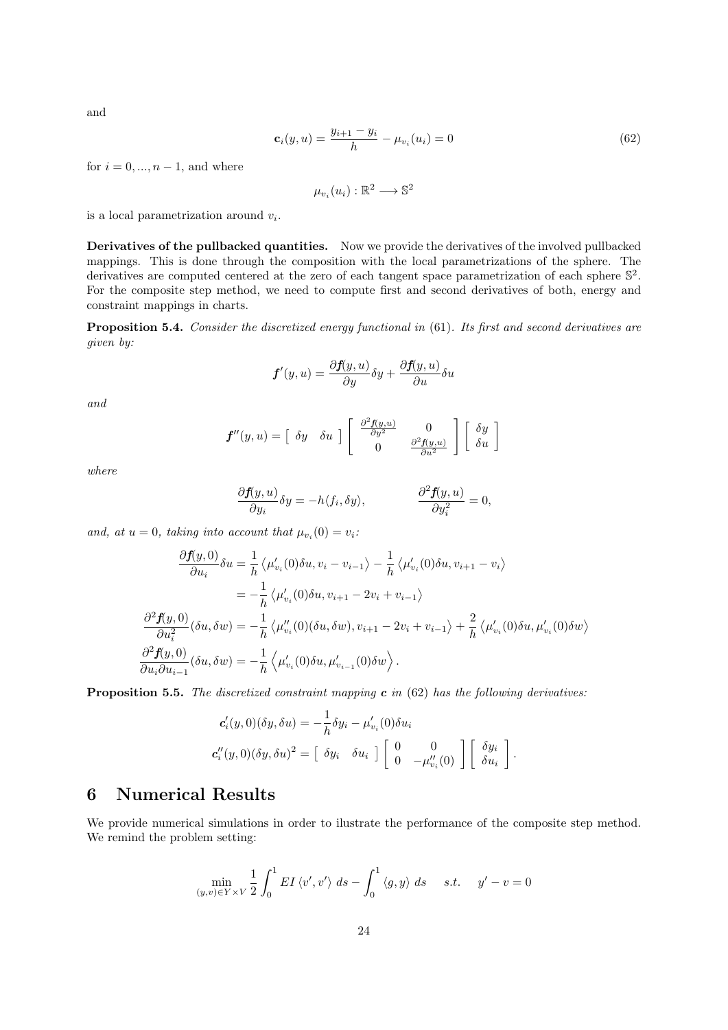and

$$
\mathbf{c}_i(y, u) = \frac{y_{i+1} - y_i}{h} - \mu_{v_i}(u_i) = 0 \tag{62}
$$

for  $i = 0, ..., n - 1$ , and where

$$
\mu_{v_i}(u_i): \mathbb{R}^2 \longrightarrow \mathbb{S}^2
$$

is a local parametrization around  $v_i$ .

Derivatives of the pullbacked quantities. Now we provide the derivatives of the involved pullbacked mappings. This is done through the composition with the local parametrizations of the sphere. The derivatives are computed centered at the zero of each tangent space parametrization of each sphere  $\mathbb{S}^2$ . For the composite step method, we need to compute first and second derivatives of both, energy and constraint mappings in charts.

Proposition 5.4. Consider the discretized energy functional in (61). Its first and second derivatives are given by:

$$
\boldsymbol{f}'(y,u) = \frac{\partial \boldsymbol{f}(y,u)}{\partial y} \delta y + \frac{\partial \boldsymbol{f}(y,u)}{\partial u} \delta u
$$

and

$$
f''(y, u) = \begin{bmatrix} \delta y & \delta u \end{bmatrix} \begin{bmatrix} \frac{\partial^2 f(y, u)}{\partial y^2} & 0 \\ 0 & \frac{\partial^2 f(y, u)}{\partial u^2} \end{bmatrix} \begin{bmatrix} \delta y \\ \delta u \end{bmatrix}
$$

where

$$
\frac{\partial f(y, u)}{\partial y_i} \delta y = -h \langle f_i, \delta y \rangle, \qquad \qquad \frac{\partial^2 f(y, u)}{\partial y_i^2} = 0,
$$

and, at  $u = 0$ , taking into account that  $\mu_{v_i}(0) = v_i$ :

$$
\frac{\partial f(y,0)}{\partial u_i} \delta u = \frac{1}{h} \left\langle \mu'_{v_i}(0) \delta u, v_i - v_{i-1} \right\rangle - \frac{1}{h} \left\langle \mu'_{v_i}(0) \delta u, v_{i+1} - v_i \right\rangle
$$
  
\n
$$
= -\frac{1}{h} \left\langle \mu'_{v_i}(0) \delta u, v_{i+1} - 2v_i + v_{i-1} \right\rangle
$$
  
\n
$$
\frac{\partial^2 f(y,0)}{\partial u_i^2} (\delta u, \delta w) = -\frac{1}{h} \left\langle \mu''_{v_i}(0) (\delta u, \delta w), v_{i+1} - 2v_i + v_{i-1} \right\rangle + \frac{2}{h} \left\langle \mu'_{v_i}(0) \delta u, \mu'_{v_i}(0) \delta w \right\rangle
$$
  
\n
$$
\frac{\partial^2 f(y,0)}{\partial u_i \partial u_{i-1}} (\delta u, \delta w) = -\frac{1}{h} \left\langle \mu'_{v_i}(0) \delta u, \mu'_{v_{i-1}}(0) \delta w \right\rangle.
$$

**Proposition 5.5.** The discretized constraint mapping  $c$  in (62) has the following derivatives:

$$
\mathbf{c}'_i(y,0)(\delta y,\delta u) = -\frac{1}{h}\delta y_i - \mu'_{v_i}(0)\delta u_i
$$
  

$$
\mathbf{c}''_i(y,0)(\delta y,\delta u)^2 = \begin{bmatrix} \delta y_i & \delta u_i \end{bmatrix} \begin{bmatrix} 0 & 0 \\ 0 & -\mu''_{v_i}(0) \end{bmatrix} \begin{bmatrix} \delta y_i \\ \delta u_i \end{bmatrix}.
$$

## 6 Numerical Results

We provide numerical simulations in order to ilustrate the performance of the composite step method. We remind the problem setting:

$$
\min_{(y,v)\in Y\times V} \frac{1}{2} \int_0^1 EI \langle v', v' \rangle ds - \int_0^1 \langle g, y \rangle ds \quad s.t. \quad y'-v=0
$$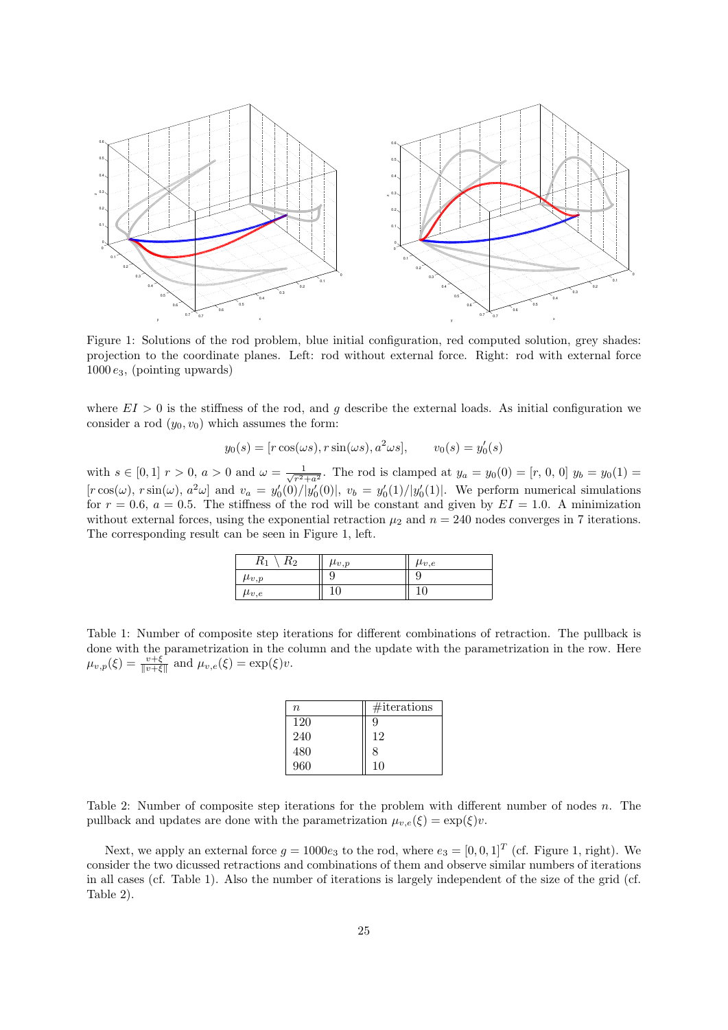

Figure 1: Solutions of the rod problem, blue initial configuration, red computed solution, grey shades: projection to the coordinate planes. Left: rod without external force. Right: rod with external force  $1000 e_3$ , (pointing upwards)

where  $EI > 0$  is the stiffness of the rod, and g describe the external loads. As initial configuration we consider a rod  $(y_0, v_0)$  which assumes the form:

$$
y_0(s) = [r\cos(\omega s), r\sin(\omega s), a^2\omega s], \qquad v_0(s) = y'_0(s)
$$

with  $s \in [0,1]$   $r > 0$ ,  $a > 0$  and  $\omega = \frac{1}{\sqrt{2}}$  $\frac{1}{r^2+a^2}$ . The rod is clamped at  $y_a = y_0(0) = [r, 0, 0]$   $y_b = y_0(1) =$  $[r\cos(\omega), r\sin(\omega), a^2\omega]$  and  $v_a = y'_0(0)/|y'_0(0)|$ ,  $v_b = y'_0(1)/|y'_0(1)|$ . We perform numerical simulations for  $r = 0.6$ ,  $a = 0.5$ . The stiffness of the rod will be constant and given by  $EI = 1.0$ . A minimization without external forces, using the exponential retraction  $\mu_2$  and  $n = 240$  nodes converges in 7 iterations. The corresponding result can be seen in Figure 1, left.

| $R_{1}$<br>$\mathfrak{n}_2$ | $\mu_{v,p}$ | $\mu_{v,e}$ |
|-----------------------------|-------------|-------------|
| $\mu_{v,p}$                 | Y           | y           |
| $\mu_{v,e}$                 | 10<br>ΙU    | 10          |

Table 1: Number of composite step iterations for different combinations of retraction. The pullback is done with the parametrization in the column and the update with the parametrization in the row. Here  $\mu_{v,p}(\xi) = \frac{v+\xi}{\|v+\xi\|}$  and  $\mu_{v,e}(\xi) = \exp(\xi)v$ .

| $\boldsymbol{n}$ | $\#$ iterations |
|------------------|-----------------|
| 120              | 9               |
| 240              | 12              |
| 480              | 8               |
| 960              | 10              |

Table 2: Number of composite step iterations for the problem with different number of nodes n. The pullback and updates are done with the parametrization  $\mu_{v,e}(\xi) = \exp(\xi)v$ .

Next, we apply an external force  $g = 1000e_3$  to the rod, where  $e_3 = [0, 0, 1]^T$  (cf. Figure 1, right). We consider the two dicussed retractions and combinations of them and observe similar numbers of iterations in all cases (cf. Table 1). Also the number of iterations is largely independent of the size of the grid (cf. Table 2).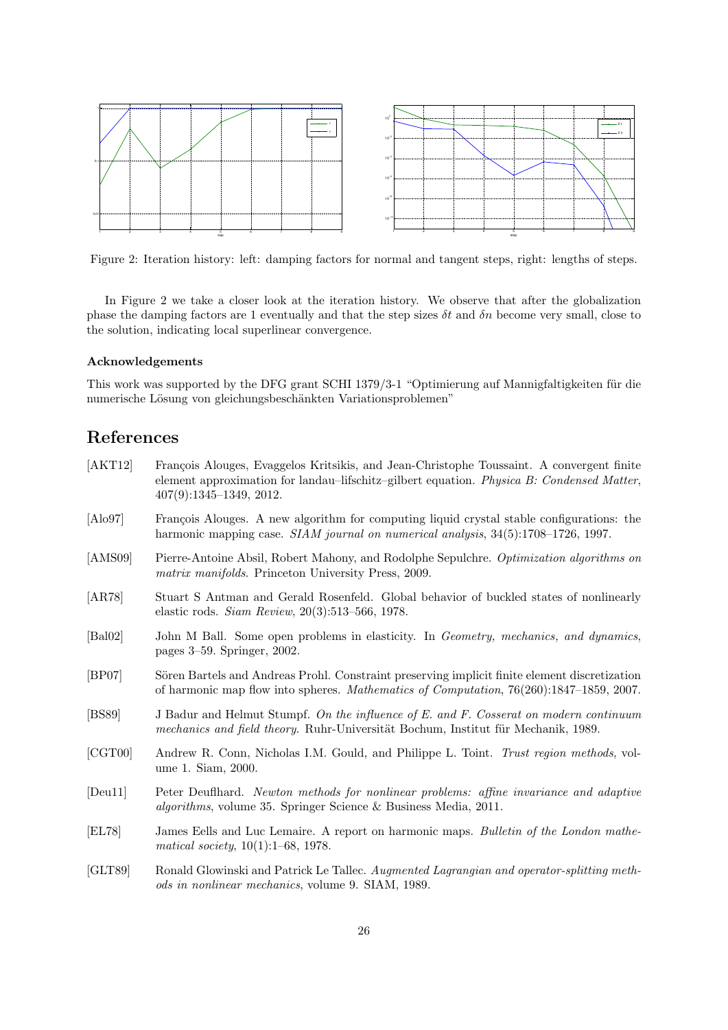

Figure 2: Iteration history: left: damping factors for normal and tangent steps, right: lengths of steps.

In Figure 2 we take a closer look at the iteration history. We observe that after the globalization phase the damping factors are 1 eventually and that the step sizes  $\delta t$  and  $\delta n$  become very small, close to the solution, indicating local superlinear convergence.

#### Acknowledgements

This work was supported by the DFG grant SCHI 1379/3-1 "Optimierung auf Mannigfaltigkeiten für die numerische Lösung von gleichungsbeschänkten Variationsproblemen"

## References

- [AKT12] François Alouges, Evaggelos Kritsikis, and Jean-Christophe Toussaint. A convergent finite element approximation for landau–lifschitz–gilbert equation. Physica B: Condensed Matter, 407(9):1345–1349, 2012. [Alo97] François Alouges. A new algorithm for computing liquid crystal stable configurations: the harmonic mapping case. SIAM journal on numerical analysis,  $34(5)$ :1708–1726, 1997. [AMS09] Pierre-Antoine Absil, Robert Mahony, and Rodolphe Sepulchre. Optimization algorithms on matrix manifolds. Princeton University Press, 2009. [AR78] Stuart S Antman and Gerald Rosenfeld. Global behavior of buckled states of nonlinearly elastic rods. Siam Review, 20(3):513–566, 1978. [Bal02] John M Ball. Some open problems in elasticity. In Geometry, mechanics, and dynamics, pages 3–59. Springer, 2002. [BP07] Sören Bartels and Andreas Prohl. Constraint preserving implicit finite element discretization of harmonic map flow into spheres. Mathematics of Computation, 76(260):1847–1859, 2007. [BS89] J Badur and Helmut Stumpf. On the influence of E. and F. Cosserat on modern continuum mechanics and field theory. Ruhr-Universität Bochum, Institut für Mechanik, 1989. [CGT00] Andrew R. Conn, Nicholas I.M. Gould, and Philippe L. Toint. Trust region methods, volume 1. Siam, 2000. [Deu11] Peter Deuflhard. Newton methods for nonlinear problems: affine invariance and adaptive algorithms, volume 35. Springer Science & Business Media, 2011. [EL78] James Eells and Luc Lemaire. A report on harmonic maps. Bulletin of the London mathematical society, 10(1):1–68, 1978.
- [GLT89] Ronald Glowinski and Patrick Le Tallec. Augmented Lagrangian and operator-splitting methods in nonlinear mechanics, volume 9. SIAM, 1989.